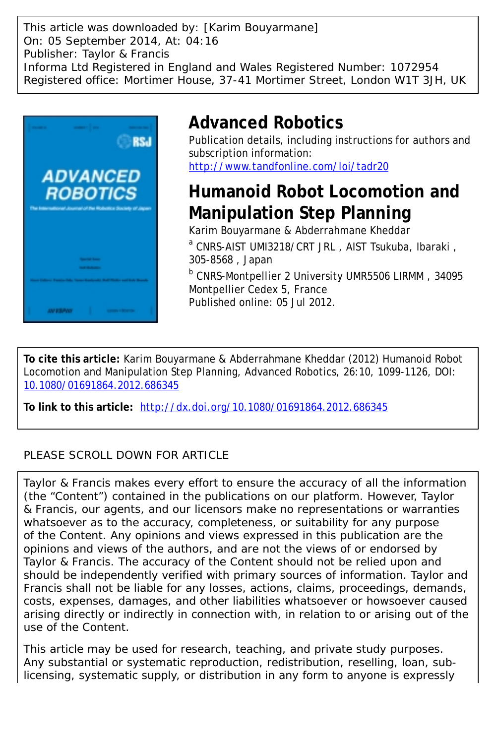This article was downloaded by: [Karim Bouyarmane] On: 05 September 2014, At: 04:16 Publisher: Taylor & Francis Informa Ltd Registered in England and Wales Registered Number: 1072954 Registered office: Mortimer House, 37-41 Mortimer Street, London W1T 3JH, UK



# **Advanced Robotics**

Publication details, including instructions for authors and subscription information: <http://www.tandfonline.com/loi/tadr20>

# **Humanoid Robot Locomotion and Manipulation Step Planning**

Karim Bouyarmane & Abderrahmane Kheddar a CNRS-AIST UMI3218/CRT JRL , AIST Tsukuba, Ibaraki , 305-8568 , Japan

b CNRS-Montpellier 2 University UMR5506 LIRMM , 34095 Montpellier Cedex 5, France Published online: 05 Jul 2012.

**To cite this article:** Karim Bouyarmane & Abderrahmane Kheddar (2012) Humanoid Robot Locomotion and Manipulation Step Planning, Advanced Robotics, 26:10, 1099-1126, DOI: [10.1080/01691864.2012.686345](http://www.tandfonline.com/action/showCitFormats?doi=10.1080/01691864.2012.686345)

**To link to this article:** <http://dx.doi.org/10.1080/01691864.2012.686345>

# PLEASE SCROLL DOWN FOR ARTICLE

Taylor & Francis makes every effort to ensure the accuracy of all the information (the "Content") contained in the publications on our platform. However, Taylor & Francis, our agents, and our licensors make no representations or warranties whatsoever as to the accuracy, completeness, or suitability for any purpose of the Content. Any opinions and views expressed in this publication are the opinions and views of the authors, and are not the views of or endorsed by Taylor & Francis. The accuracy of the Content should not be relied upon and should be independently verified with primary sources of information. Taylor and Francis shall not be liable for any losses, actions, claims, proceedings, demands, costs, expenses, damages, and other liabilities whatsoever or howsoever caused arising directly or indirectly in connection with, in relation to or arising out of the use of the Content.

This article may be used for research, teaching, and private study purposes. Any substantial or systematic reproduction, redistribution, reselling, loan, sublicensing, systematic supply, or distribution in any form to anyone is expressly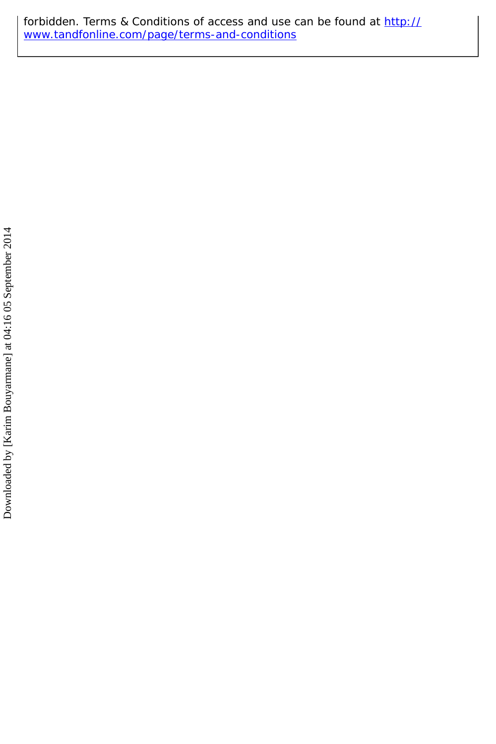forbidden. Terms & Conditions of access and use can be found at [http://](http://www.tandfonline.com/page/terms-and-conditions) [www.tandfonline.com/page/terms-and-conditions](http://www.tandfonline.com/page/terms-and-conditions)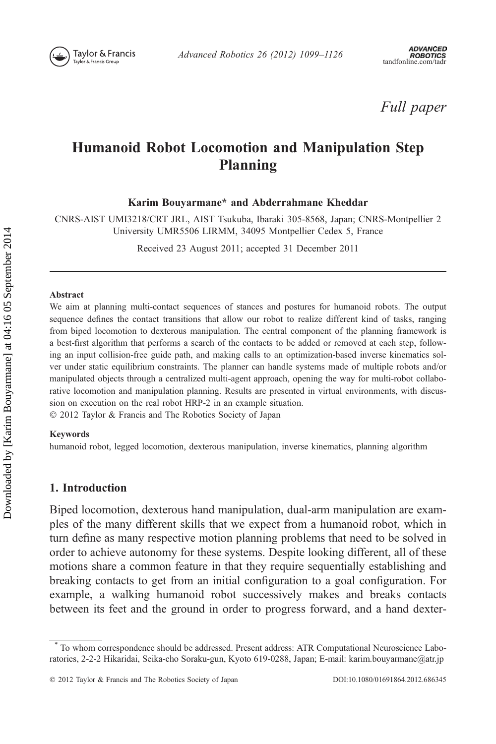

Full paper

# Humanoid Robot Locomotion and Manipulation Step Planning

Karim Bouyarmane\* and Abderrahmane Kheddar

CNRS-AIST UMI3218/CRT JRL, AIST Tsukuba, Ibaraki 305-8568, Japan; CNRS-Montpellier 2 University UMR5506 LIRMM, 34095 Montpellier Cedex 5, France

Received 23 August 2011; accepted 31 December 2011

#### Abstract

We aim at planning multi-contact sequences of stances and postures for humanoid robots. The output sequence defines the contact transitions that allow our robot to realize different kind of tasks, ranging from biped locomotion to dexterous manipulation. The central component of the planning framework is a best-first algorithm that performs a search of the contacts to be added or removed at each step, following an input collision-free guide path, and making calls to an optimization-based inverse kinematics solver under static equilibrium constraints. The planner can handle systems made of multiple robots and/or manipulated objects through a centralized multi-agent approach, opening the way for multi-robot collaborative locomotion and manipulation planning. Results are presented in virtual environments, with discussion on execution on the real robot HRP-2 in an example situation. 2012 Taylor & Francis and The Robotics Society of Japan

#### Keywords

humanoid robot, legged locomotion, dexterous manipulation, inverse kinematics, planning algorithm

# 1. Introduction

Biped locomotion, dexterous hand manipulation, dual-arm manipulation are examples of the many different skills that we expect from a humanoid robot, which in turn define as many respective motion planning problems that need to be solved in order to achieve autonomy for these systems. Despite looking different, all of these motions share a common feature in that they require sequentially establishing and breaking contacts to get from an initial configuration to a goal configuration. For example, a walking humanoid robot successively makes and breaks contacts between its feet and the ground in order to progress forward, and a hand dexter-

<sup>\*</sup> To whom correspondence should be addressed. Present address: ATR Computational Neuroscience Laboratories, 2-2-2 Hikaridai, Seika-cho Soraku-gun, Kyoto 619-0288, Japan; E-mail: karim.bouyarmane@atr.jp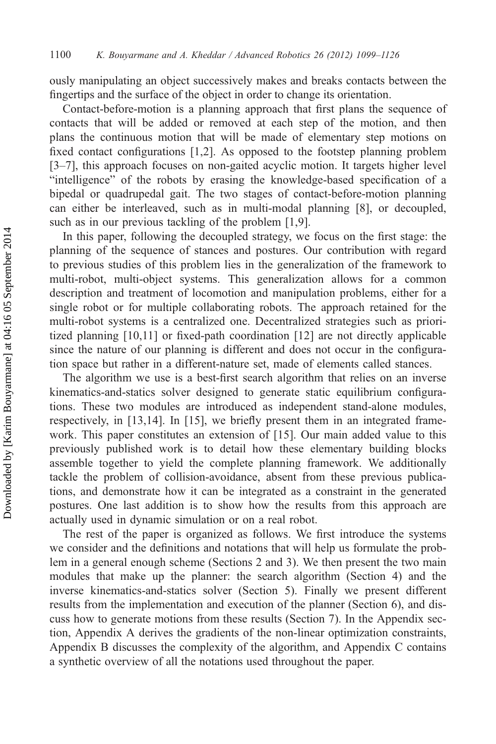ously manipulating an object successively makes and breaks contacts between the fingertips and the surface of the object in order to change its orientation.

Contact-before-motion is a planning approach that first plans the sequence of contacts that will be added or removed at each step of the motion, and then plans the continuous motion that will be made of elementary step motions on fixed contact configurations [1,2]. As opposed to the footstep planning problem [3–7], this approach focuses on non-gaited acyclic motion. It targets higher level "intelligence" of the robots by erasing the knowledge-based specification of a bipedal or quadrupedal gait. The two stages of contact-before-motion planning can either be interleaved, such as in multi-modal planning [8], or decoupled, such as in our previous tackling of the problem [1,9].

In this paper, following the decoupled strategy, we focus on the first stage: the planning of the sequence of stances and postures. Our contribution with regard to previous studies of this problem lies in the generalization of the framework to multi-robot, multi-object systems. This generalization allows for a common description and treatment of locomotion and manipulation problems, either for a single robot or for multiple collaborating robots. The approach retained for the multi-robot systems is a centralized one. Decentralized strategies such as prioritized planning [10,11] or fixed-path coordination [12] are not directly applicable since the nature of our planning is different and does not occur in the configuration space but rather in a different-nature set, made of elements called stances.

The algorithm we use is a best-first search algorithm that relies on an inverse kinematics-and-statics solver designed to generate static equilibrium configurations. These two modules are introduced as independent stand-alone modules, respectively, in [13,14]. In [15], we briefly present them in an integrated framework. This paper constitutes an extension of [15]. Our main added value to this previously published work is to detail how these elementary building blocks assemble together to yield the complete planning framework. We additionally tackle the problem of collision-avoidance, absent from these previous publications, and demonstrate how it can be integrated as a constraint in the generated postures. One last addition is to show how the results from this approach are actually used in dynamic simulation or on a real robot.

The rest of the paper is organized as follows. We first introduce the systems we consider and the definitions and notations that will help us formulate the problem in a general enough scheme (Sections 2 and 3). We then present the two main modules that make up the planner: the search algorithm (Section 4) and the inverse kinematics-and-statics solver (Section 5). Finally we present different results from the implementation and execution of the planner (Section 6), and discuss how to generate motions from these results (Section 7). In the Appendix section, Appendix A derives the gradients of the non-linear optimization constraints, Appendix B discusses the complexity of the algorithm, and Appendix C contains a synthetic overview of all the notations used throughout the paper.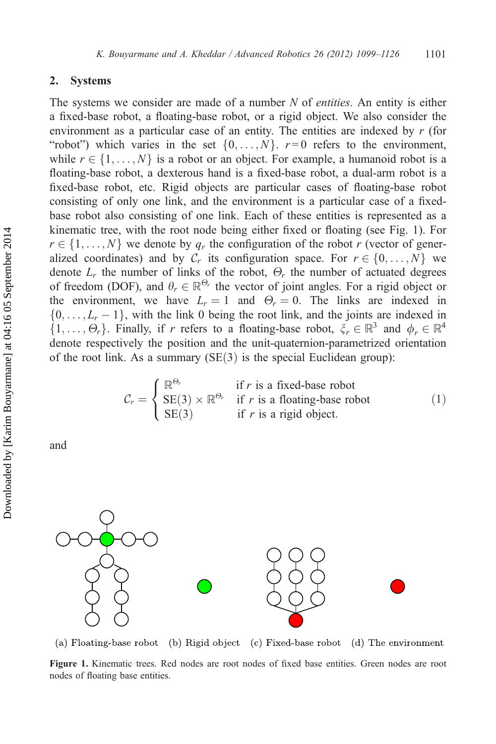# 2. Systems

The systems we consider are made of a number  $N$  of *entities*. An entity is either a fixed-base robot, a floating-base robot, or a rigid object. We also consider the environment as a particular case of an entity. The entities are indexed by  $r$  (for "robot") which varies in the set  $\{0, \ldots, N\}$ .  $r=0$  refers to the environment, while  $r \in \{1, \ldots, N\}$  is a robot or an object. For example, a humanoid robot is a floating-base robot, a dexterous hand is a fixed-base robot, a dual-arm robot is a fixed-base robot, etc. Rigid objects are particular cases of floating-base robot consisting of only one link, and the environment is a particular case of a fixedbase robot also consisting of one link. Each of these entities is represented as a kinematic tree, with the root node being either fixed or floating (see Fig. 1). For  $r \in \{1, \ldots, N\}$  we denote by  $q_r$  the configuration of the robot r (vector of generalized coordinates) and by  $C_r$  its configuration space. For  $r \in \{0, \ldots, N\}$  we denote  $L_r$  the number of links of the robot,  $\Theta_r$  the number of actuated degrees of freedom (DOF), and  $\theta_r \in \mathbb{R}^{\Theta_r}$  the vector of joint angles. For a rigid object or<br>the environment, we have  $L = 1$  and  $\Theta = 0$ . The links are indexed in the environment, we have  $L_r = 1$  and  $\Theta_r = 0$ . The links are indexed in  $\{0, \ldots, L-1\}$  with the link 0 being the root link and the joints are indexed in  $\{0,\ldots,L_r-1\}$ , with the link 0 being the root link, and the joints are indexed in  $\{1,\ldots,\Theta\}$ . Finally if r refers to a floating-base robot  $\mathcal{E} \in \mathbb{R}^3$  and  $\phi \in \mathbb{R}^4$  $\{1,\ldots,\Theta_r\}$ . Finally, if r refers to a floating-base robot,  $\xi_r \in \mathbb{R}^3$  and  $\phi_r \in \mathbb{R}^4$ <br>denote respectively the position and the unit-quaternion-parametrized orientation denote respectively the position and the unit-quaternion-parametrized orientation of the root link. As a summary  $(SE(3)$  is the special Euclidean group):

$$
C_r = \begin{cases} \mathbb{R}^{\Theta_r} & \text{if } r \text{ is a fixed-base robot} \\ \text{SE}(3) \times \mathbb{R}^{\Theta_r} & \text{if } r \text{ is a floating-base robot} \\ \text{SE}(3) & \text{if } r \text{ is a rigid object.} \end{cases}
$$
(1)

and



(a) Floating-base robot (b) Rigid object (c) Fixed-base robot (d) The environment

Figure 1. Kinematic trees. Red nodes are root nodes of fixed base entities. Green nodes are root nodes of floating base entities.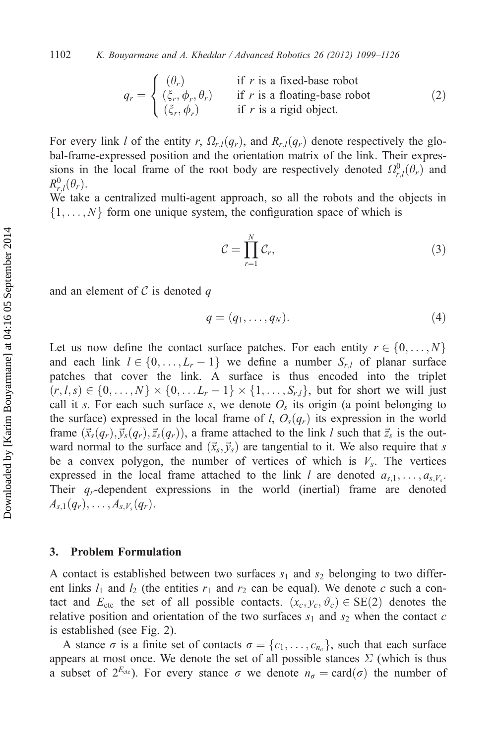$$
q_r = \begin{cases} (\theta_r) & \text{if } r \text{ is a fixed-base robot} \\ (\xi_r, \phi_r, \theta_r) & \text{if } r \text{ is a floating-base robot} \\ (\xi_r, \phi_r) & \text{if } r \text{ is a rigid object.} \end{cases}
$$
 (2)

For every link l of the entity r,  $\Omega_{r,l}(q_r)$ , and  $R_{r,l}(q_r)$  denote respectively the global-frame-expressed position and the orientation matrix of the link. Their expressions in the local frame of the root body are respectively denoted  $\Omega_{r,l}^0(\theta_r)$  and  $R^0(\theta)$  $R_{r,l}^0(\theta_r)$ .<br>We take

We take a centralized multi-agent approach, so all the robots and the objects in  $\{1, \ldots, N\}$  form one unique system, the configuration space of which is

$$
\mathcal{C} = \prod_{r=1}^{N} \mathcal{C}_r,\tag{3}
$$

and an element of  $\mathcal C$  is denoted q

$$
q = (q_1, \ldots, q_N). \tag{4}
$$

Let us now define the contact surface patches. For each entity  $r \in \{0, \ldots, N\}$ and each link  $l \in \{0, \ldots, L_r - 1\}$  we define a number  $S_{r,l}$  of planar surface<br>patches that cover the link. A surface is thus encoded into the triplet patches that cover the link. A surface is thus encoded into the triplet  $(r, l, s) \in \{0, \ldots, N\} \times \{0, \ldots L_r - 1\} \times \{1, \ldots, S_{r,l}\}\$ , but for short we will just<br>call it s. For each such surface s, we denote Q, its origin (a point belonging to call it s. For each such surface s, we denote  $O<sub>s</sub>$  its origin (a point belonging to the surface) expressed in the local frame of l,  $O_s(q_r)$  its expression in the world frame  $(\vec{x}_s(q_r), \vec{y}_s(q_r), \vec{z}_s(q_r))$ , a frame attached to the link l such that  $\vec{z}_s$  is the outward normal to the surface and  $(\vec{x}_s, \vec{y}_s)$  are tangential to it. We also require that s be a convex polygon, the number of vertices of which is  $V_s$ . The vertices expressed in the local frame attached to the link l are denoted  $a_{s,1}, \ldots, a_{s,V}$ . Their  $q_r$ -dependent expressions in the world (inertial) frame are denoted  $A_{s,1}(q_r), \ldots, A_{s,V_s}(q_r).$ 

# 3. Problem Formulation

A contact is established between two surfaces  $s_1$  and  $s_2$  belonging to two different links  $l_1$  and  $l_2$  (the entities  $r_1$  and  $r_2$  can be equal). We denote c such a contact and  $E_{\text{ctc}}$  the set of all possible contacts.  $(x_c, y_c, \vartheta_c) \in \text{SE}(2)$  denotes the relative position and orientation of the two surfaces  $s_1$  and  $s_2$  when the contact c is established (see Fig. 2).

A stance  $\sigma$  is a finite set of contacts  $\sigma = \{c_1, \ldots, c_{n_\sigma}\}\)$ , such that each surface appears at most once. We denote the set of all possible stances  $\Sigma$  (which is thus a subset of  $2^{E_{\text{ctc}}}$ ). For every stance  $\sigma$  we denote  $n_{\sigma} = \text{card}(\sigma)$  the number of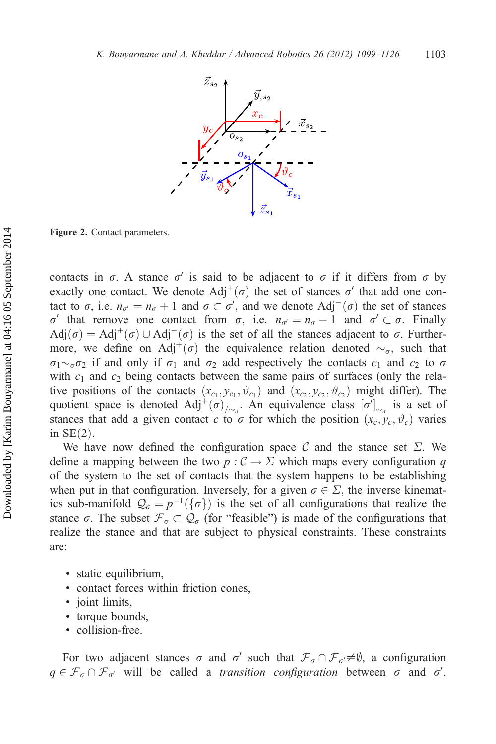

Figure 2. Contact parameters.

contacts in  $\sigma$ . A stance  $\sigma'$  is said to be adjacent to  $\sigma$  if it differs from  $\sigma$  by exactly one contact. We denote  $\text{Adj}^+(\sigma)$  the set of stances  $\sigma'$  that add one contact to  $\sigma$ , i.e.  $n_{\sigma'} = n_{\sigma} + 1$  and  $\sigma \subset \sigma'$ , and we denote Adj<sup>-</sup>( $\sigma$ ) the set of stances  $\sigma'$  that remove one contact from  $\sigma$  i.e.  $n_{\sigma'} = n_{\sigma} - 1$  and  $\sigma' \subset \sigma$ . Finally σ' that remove one contact from σ, i.e.  $n_{\sigma'} = n_{\sigma} - 1$  and  $\sigma' \subset \sigma$ . Finally Adi(σ) = Adi<sup>+</sup>(σ) | Adi<sup>-</sup>(σ) is the set of all the stances adiacent to σ. Further- $Adj(\sigma) = Adj^{+}(\sigma) \cup Adj^{-}(\sigma)$  is the set of all the stances adjacent to  $\sigma$ . Further-<br>more we define on  $Adj^{+}(\sigma)$  the equivalence relation denoted  $\sim$ , such that more, we define on Adj<sup>+</sup>( $\sigma$ ) the equivalence relation denoted  $\sim_{\sigma}$ , such that  $\sigma_1 \sim_{\sigma} \sigma_2$  if and only if  $\sigma_1$  and  $\sigma_2$  add respectively the contacts  $c_1$  and  $c_2$  to  $\sigma$ with  $c_1$  and  $c_2$  being contacts between the same pairs of surfaces (only the relative positions of the contacts  $(x_{c_1}, y_{c_1}, \vartheta_{c_1})$  and  $(x_{c_2}, y_{c_2}, \vartheta_{c_2})$  might differ). The quotient space is denoted  $Adj^+(\sigma)_{\overline{\rho}_{\sigma}}$ . An equivalence class  $[\sigma']_{\sim_{\sigma}}$  is a set of stances that add a given contact  $c$  to  $\sigma$  for which the position  $(x, y, y)$  varies stances that add a given contact c to  $\sigma$  for which the position  $(x_c, y_c, \vartheta_c)$  varies in SF(2) in  $SE(2)$ .

We have now defined the configuration space C and the stance set  $\Sigma$ . We define a mapping between the two  $p : C \to \Sigma$  which maps every configuration q of the system to the set of contacts that the system happens to be establishing when put in that configuration. Inversely, for a given  $\sigma \in \Sigma$ , the inverse kinematics sub-manifold  $\mathcal{Q}_{\sigma} = p^{-1}(\{\sigma\})$  is the set of all configurations that realize the<br>stance  $\sigma$ . The subset  $\mathcal{F} \subset \mathcal{Q}$  (for "feasible") is made of the configurations that stance  $\sigma$ . The subset  $\mathcal{F}_{\sigma} \subset \mathcal{Q}_{\sigma}$  (for "feasible") is made of the configurations that realize the stance and that are subject to physical constraints. These constraints are:

- static equilibrium,
- contact forces within friction cones,
- joint limits,
- torque bounds,
- collision-free.

For two adjacent stances  $\sigma$  and  $\sigma'$  such that  $\mathcal{F}_{\sigma} \cap \mathcal{F}_{\sigma'} \neq \emptyset$ , a configuration  $q \in \mathcal{F}_{\sigma} \cap \mathcal{F}_{\sigma'}$  will be called a *transition configuration* between  $\sigma$  and  $\sigma'$ .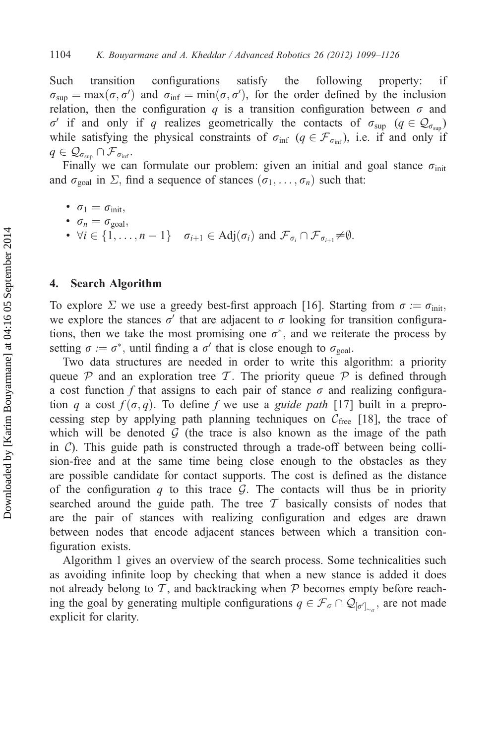Such transition configurations satisfy the following property: if  $\sigma_{\text{sup}} = \max(\sigma, \sigma')$  and  $\sigma_{\text{inf}} = \min(\sigma, \sigma')$ , for the order defined by the inclusion relation then the configuration a is a transition configuration between  $\sigma$  and relation, then the configuration q is a transition configuration between  $\sigma$  and  $\sigma'$  if and only if q realizes geometrically the contacts of  $\sigma_{\text{sup}}$  ( $q \in \mathcal{Q}_{\sigma_{\text{sum}}}$ ) while satisfying the physical constraints of  $\sigma_{\text{inf}}$  ( $q \in \mathcal{F}_{\sigma_{\text{inf}}}$ ), i.e. if and only if  $q \in \mathcal{Q}_{\sigma_{\text{sun}}} \cap \mathcal{F}_{\sigma_{\text{inf}}}.$ 

Finally we can formulate our problem: given an initial and goal stance  $\sigma_{\text{init}}$ and  $\sigma_{\text{goal}}$  in  $\Sigma$ , find a sequence of stances  $(\sigma_1, \ldots, \sigma_n)$  such that:

- $\sigma_1 = \sigma_{\text{init}}$
- $\sigma_n = \sigma_{\text{goal}}$
- $\forall i \in \{1, ..., n-1\}$   $\sigma_{i+1} \in \text{Adj}(\sigma_i)$  and  $\mathcal{F}_{\sigma_i} \cap \mathcal{F}_{\sigma_{i+1}} \neq \emptyset$ .

## 4. Search Algorithm

To explore  $\Sigma$  we use a greedy best-first approach [16]. Starting from  $\sigma := \sigma_{\text{init}}$ , we explore the stances  $\sigma'$  that are adjacent to  $\sigma$  looking for transition configurations, then we take the most promising one  $\sigma^*$ , and we reiterate the process by setting  $\sigma := \sigma^*$ , until finding a  $\sigma'$  that is close enough to  $\sigma_{\text{goal}}$ .

Two data structures are needed in order to write this algorithm: a priority queue  $P$  and an exploration tree T. The priority queue  $P$  is defined through a cost function f that assigns to each pair of stance  $\sigma$  and realizing configuration q a cost  $f(\sigma, q)$ . To define f we use a *guide path* [17] built in a preprocessing step by applying path planning techniques on  $C_{\text{free}}$  [18], the trace of which will be denoted  $\mathcal G$  (the trace is also known as the image of the path in  $\mathcal{C}$ ). This guide path is constructed through a trade-off between being collision-free and at the same time being close enough to the obstacles as they are possible candidate for contact supports. The cost is defined as the distance of the configuration q to this trace  $\mathcal G$ . The contacts will thus be in priority searched around the guide path. The tree  $\mathcal T$  basically consists of nodes that are the pair of stances with realizing configuration and edges are drawn between nodes that encode adjacent stances between which a transition configuration exists.

Algorithm 1 gives an overview of the search process. Some technicalities such as avoiding infinite loop by checking that when a new stance is added it does not already belong to  $\mathcal T$ , and backtracking when  $\mathcal P$  becomes empty before reaching the goal by generating multiple configurations  $q \in \mathcal{F}_{\sigma} \cap \mathcal{Q}_{[\sigma']_{\sim_{\sigma}}}$ , are not made<br>explicit for clarity explicit for clarity.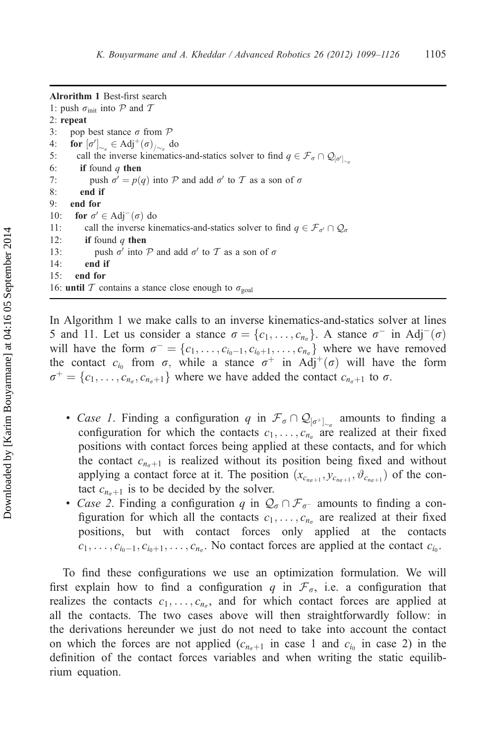Alrorithm 1 Best-first search 1: push  $\sigma_{\text{init}}$  into P and T 2: repeat 3: pop best stance  $\sigma$  from  $\mathcal P$ 4: **for**  $[\sigma']_{\sim_{\sigma}} \in \text{Adj}^+(\sigma)_{/\sim_{\sigma}}$  do<br>5. call the inverse kinematic 5: call the inverse kinematics-and-statics solver to find  $q \in \mathcal{F}_{\sigma} \cap \mathcal{Q}_{[\sigma']_{\sim \sigma}}$ <br>6. **if** found a **then** 6: if found  $q$  then 7: push  $\sigma' = p(q)$  into P and add  $\sigma'$  to T as a son of  $\sigma$  8: end if end if 9: end for 10: **for**  $\sigma' \in Adj^-(\sigma)$  do<br>11: call the inverse kin 11: call the inverse kinematics-and-statics solver to find  $q \in \mathcal{F}_{\sigma'} \cap \mathcal{Q}_{\sigma}$ <br>12: **if** found *a* then if found  $q$  then 13: push  $\sigma'$  into P and add  $\sigma'$  to T as a son of  $\sigma$ 14: end if 15: end for 16: until T contains a stance close enough to  $\sigma_{\text{goal}}$ 

In Algorithm 1 we make calls to an inverse kinematics-and-statics solver at lines 5 and 11. Let us consider a stance  $\sigma = \{c_1, \ldots, c_{n_\sigma}\}\)$ . A stance  $\sigma^-$  in Adj<sup>-</sup>( $\sigma$ ) will have the form  $\sigma^- = \{c_1, \ldots, c_{n_\sigma}\}$  where we have removed will have the form  $\sigma = \{c_1, \ldots, c_{i_0-1}, c_{i_0+1}, \ldots, c_{n_\sigma}\}\$  where we have removed<br>the contact c. from  $\sigma$  while a stance  $\sigma^+$  in Adi<sup>+</sup>( $\sigma$ ) will have the form the contact  $c_{i_0}$  from  $\sigma$ , while a stance  $\sigma^+$  in Adj<sup>+</sup>( $\sigma$ ) will have the form  $\sigma^+ = \{c_1, \ldots, c_{n_\sigma}, c_{n_\sigma+1}\}\$  where we have added the contact  $c_{n_\sigma+1}$  to  $\sigma$ .

- Case 1. Finding a configuration q in  $\mathcal{F}_{\sigma} \cap \mathcal{Q}_{[\sigma^+]_{\sim \sigma}}$  amounts to finding a configuration for which the contacts  $c_1$ ,  $c_2$  are realized at their fixed configuration for which the contacts  $c_1, \ldots, c_{n_\sigma}$  are realized at their fixed positions with contact forces being applied at these contacts, and for which the contact  $c_{n_{\sigma}+1}$  is realized without its position being fixed and without applying a contact force at it. The position  $(x_{c_{n\alpha+1}}, y_{c_{n\alpha+1}}, \vartheta_{c_{n\alpha+1}})$  of the contact  $c_{n_{\sigma+1}}$  is to be decided by the solver.
- Case 2. Finding a configuration q in  $\mathcal{Q}_{\sigma} \cap \mathcal{F}_{\sigma^-}$  amounts to finding a configuration for which all the contacts  $c_1$  are realized at their fixed figuration for which all the contacts  $c_1, \ldots, c_{n_\sigma}$  are realized at their fixed positions, but with contact forces only applied at the contacts  $c_1, \ldots, c_{i_0-1}, c_{i_0+1}, \ldots, c_{n_\sigma}$ . No contact forces are applied at the contact  $c_{i_0}$ .

To find these configurations we use an optimization formulation. We will first explain how to find a configuration q in  $\mathcal{F}_{\sigma}$ , i.e. a configuration that realizes the contacts  $c_1, \ldots, c_{n_\sigma}$ , and for which contact forces are applied at all the contacts. The two cases above will then straightforwardly follow: in the derivations hereunder we just do not need to take into account the contact on which the forces are not applied  $(c_{n_{\alpha}+1}$  in case 1 and  $c_{i_0}$  in case 2) in the definition of the contact forces variables and when writing the static equilibrium equation.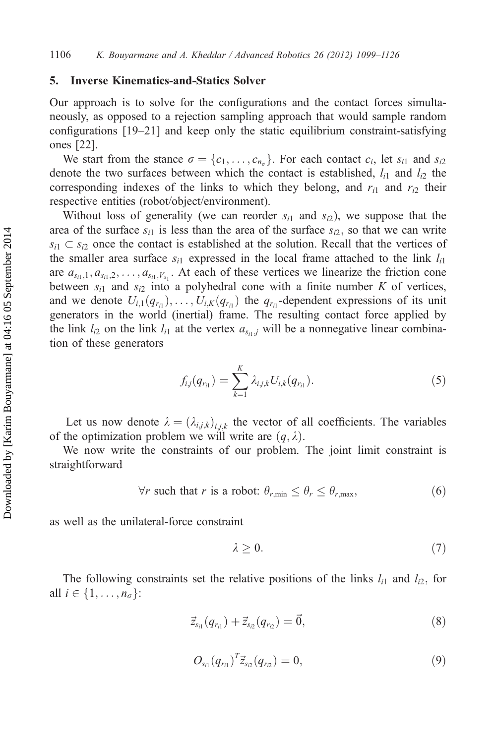### 5. Inverse Kinematics-and-Statics Solver

Our approach is to solve for the configurations and the contact forces simultaneously, as opposed to a rejection sampling approach that would sample random configurations [19–21] and keep only the static equilibrium constraint-satisfying ones [22].

We start from the stance  $\sigma = \{c_1, \ldots, c_{n_\sigma}\}\$ . For each contact  $c_i$ , let  $s_{i1}$  and  $s_{i2}$ denote the two surfaces between which the contact is established,  $l_{i1}$  and  $l_{i2}$  the corresponding indexes of the links to which they belong, and  $r_{i1}$  and  $r_{i2}$  their respective entities (robot/object/environment).

Without loss of generality (we can reorder  $s_{i1}$  and  $s_{i2}$ ), we suppose that the area of the surface  $s_{i1}$  is less than the area of the surface  $s_{i2}$ , so that we can write  $s_{i1} \subset s_{i2}$  once the contact is established at the solution. Recall that the vertices of the smaller area surface  $s_{i1}$  expressed in the local frame attached to the link  $l_{i1}$ are  $a_{s_{i1},1}, a_{s_{i1},2}, \ldots, a_{s_{i1},V_{s_1}}$ . At each of these vertices we linearize the friction cone between  $s_{i1}$  and  $s_{i2}$  into a polyhedral cone with a finite number K of vertices, and we denote  $U_{i,1}(q_{r_{i1}}), \ldots, U_{i,K}(q_{r_{i1}})$  the  $q_{r_{i1}}$ -dependent expressions of its unit generators in the world (inertial) frame. The resulting contact force applied by the link  $l_{i2}$  on the link  $l_{i1}$  at the vertex  $a_{s_{i1},j}$  will be a nonnegative linear combination of these generators

$$
f_{i,j}(q_{r_{i1}}) = \sum_{k=1}^{K} \lambda_{i,j,k} U_{i,k}(q_{r_{i1}}).
$$
 (5)

Let us now denote  $\lambda = (\lambda_{i,j,k})_{i,j,k}$  the vector of all coefficients. The variables of the optimization problem we will write are  $(q, \lambda)$ .

We now write the constraints of our problem. The joint limit constraint is straightforward

$$
\forall r \text{ such that } r \text{ is a robot: } \theta_{r,\min} \le \theta_r \le \theta_{r,\max},\tag{6}
$$

as well as the unilateral-force constraint

$$
\lambda \geq 0. \tag{7}
$$

The following constraints set the relative positions of the links  $l_{i1}$  and  $l_{i2}$ , for all  $i \in \{1, \ldots, n_{\sigma}\}$ :

$$
\vec{z}_{s_{i1}}(q_{r_{i1}}) + \vec{z}_{s_{i2}}(q_{r_{i2}}) = \vec{0},\tag{8}
$$

$$
O_{s_{i1}}(q_{r_{i1}})^T \vec{z}_{s_{i2}}(q_{r_{i2}}) = 0, \qquad (9)
$$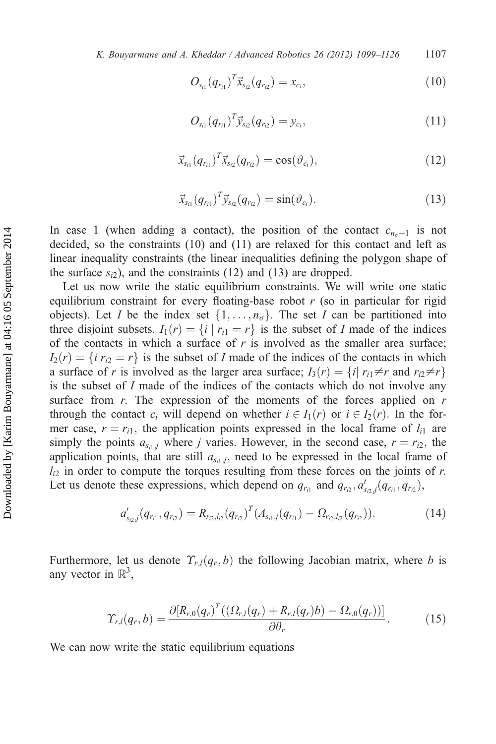K. Bouyarmane and A. Kheddar / Advanced Robotics 26 (2012) 1099–1126  $1107$ 

$$
O_{s_{i1}}(q_{r_{i1}})^T \vec{x}_{s_{i2}}(q_{r_{i2}}) = x_{c_i}, \qquad (10)
$$

$$
O_{s_{i1}}(q_{r_{i1}})^T \vec{y}_{s_{i2}}(q_{r_{i2}}) = y_{c_i}, \qquad (11)
$$

$$
\vec{x}_{s_{i1}}(q_{r_{i1}})^T \vec{x}_{s_{i2}}(q_{r_{i2}}) = \cos(\vartheta_{c_i}), \qquad (12)
$$

$$
\vec{x}_{s_{i1}}(q_{r_{i1}})^T \vec{y}_{s_{i2}}(q_{r_{i2}}) = \sin(\vartheta_{c_i}). \tag{13}
$$

In case 1 (when adding a contact), the position of the contact  $c_{n+1}$  is not decided, so the constraints (10) and (11) are relaxed for this contact and left as linear inequality constraints (the linear inequalities defining the polygon shape of the surface  $s_{i2}$ ), and the constraints (12) and (13) are dropped.

Let us now write the static equilibrium constraints. We will write one static equilibrium constraint for every floating-base robot  $r$  (so in particular for rigid objects). Let *I* be the index set  $\{1, \ldots, n_{\sigma}\}\$ . The set *I* can be partitioned into three disjoint subsets.  $I_1(r) = \{i \mid r_{i1} = r\}$  is the subset of I made of the indices of the contacts in which a surface of  $r$  is involved as the smaller area surface;  $I_2(r) = \{i | r_{i2} = r\}$  is the subset of I made of the indices of the contacts in which a surface of r is involved as the larger area surface;  $I_3(r) = \{i | r_{i1} \neq r \text{ and } r_{i2} \neq r\}$ is the subset of I made of the indices of the contacts which do not involve any surface from  $r$ . The expression of the moments of the forces applied on  $r$ through the contact  $c_i$  will depend on whether  $i \in I_1(r)$  or  $i \in I_2(r)$ . In the former case,  $r = r_{i1}$ , the application points expressed in the local frame of  $l_{i1}$  are simply the points  $a_{s_i,j}$  where j varies. However, in the second case,  $r = r_{i2}$ , the application points, that are still  $a_{s_i,j}$ , need to be expressed in the local frame of  $l_{i2}$  in order to compute the torques resulting from these forces on the joints of r. Let us denote these expressions, which depend on  $q_{r_{i1}}$  and  $q_{r_2}, d'_{s_{i2},j}(q_{r_{i1}}, q_{r_2})$ ,

$$
a'_{s_{i2},j}(q_{r_{i1}},q_{r_{i2}})=R_{r_{i2},l_{i2}}(q_{r_{i2}})^T(A_{s_{i1},j}(q_{r_{i1}})-\Omega_{r_{i2},l_{i2}}(q_{r_{i2}})).
$$
\n(14)

Furthermore, let us denote  $\Upsilon_{r,l}(q_r, b)$  the following Jacobian matrix, where b is any vector in  $\mathbb{R}^3$ ,

$$
\Upsilon_{r,l}(q_r,b) = \frac{\partial [R_{r,0}(q_r)^T((\Omega_{r,l}(q_r) + R_{r,l}(q_r)b) - \Omega_{r,0}(q_r))] }{\partial \theta_r}.
$$
\n(15)

We can now write the static equilibrium equations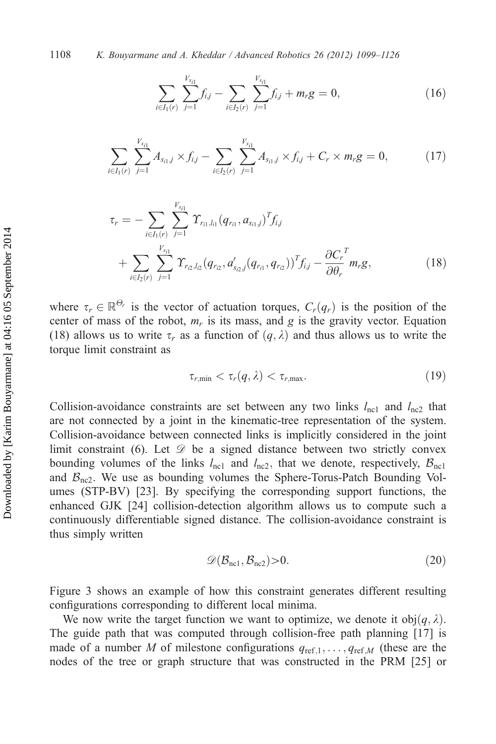$$
\sum_{i\in I_1(r)}\sum_{j=1}^{V_{s_{i1}}}f_{i,j}-\sum_{i\in I_2(r)}\sum_{j=1}^{V_{s_{i1}}}f_{i,j}+m_rg=0,
$$
\n(16)

$$
\sum_{i \in I_1(r)} \sum_{j=1}^{V_{s_{i1}}} A_{s_{i1},j} \times f_{i,j} - \sum_{i \in I_2(r)} \sum_{j=1}^{V_{s_{i1}}} A_{s_{i1},j} \times f_{i,j} + C_r \times m_r g = 0, \qquad (17)
$$

$$
\tau_r = -\sum_{i \in I_1(r)} \sum_{j=1}^{V_{s_{i1}}} \Upsilon_{r_{i1},l_{i1}}(q_{r_{i1}}, a_{s_{i1},j})^T f_{i,j} + \sum_{i \in I_2(r)} \sum_{j=1}^{V_{s_{i1}}} \Upsilon_{r_{i2},l_{i2}}(q_{r_{i2}}, a'_{s_{i2},j}(q_{r_{i1}}, q_{r_{i2}}))^T f_{i,j} - \frac{\partial C_r}{\partial \theta_r}^T m_r g,
$$
(18)

where  $\tau_r \in \mathbb{R}^{\Theta_r}$  is the vector of actuation torques,  $C_r(q_r)$  is the position of the center of mass of the robot m is its mass and g is the gravity vector. Fountion center of mass of the robot,  $m_r$  is its mass, and g is the gravity vector. Equation (18) allows us to write  $\tau_r$  as a function of  $(q, \lambda)$  and thus allows us to write the torque limit constraint as

$$
\tau_{r,\min} < \tau_r(q,\lambda) < \tau_{r,\max}.\tag{19}
$$

Collision-avoidance constraints are set between any two links  $l_{\text{nc1}}$  and  $l_{\text{nc2}}$  that are not connected by a joint in the kinematic-tree representation of the system. Collision-avoidance between connected links is implicitly considered in the joint limit constraint (6). Let  $\mathscr{D}$  be a signed distance between two strictly convex bounding volumes of the links  $l_{\text{nc1}}$  and  $l_{\text{nc2}}$ , that we denote, respectively,  $B_{\text{nc1}}$ and  $B_{\text{nc2}}$ . We use as bounding volumes the Sphere-Torus-Patch Bounding Volumes (STP-BV) [23]. By specifying the corresponding support functions, the enhanced GJK [24] collision-detection algorithm allows us to compute such a continuously differentiable signed distance. The collision-avoidance constraint is thus simply written

$$
\mathscr{D}(\mathcal{B}_{\text{nc1}}, \mathcal{B}_{\text{nc2}}) > 0. \tag{20}
$$

Figure 3 shows an example of how this constraint generates different resulting configurations corresponding to different local minima.

We now write the target function we want to optimize, we denote it  $obj(q, \lambda)$ . The guide path that was computed through collision-free path planning [17] is made of a number M of milestone configurations  $q_{ref,1}, \ldots, q_{ref,M}$  (these are the nodes of the tree or graph structure that was constructed in the PRM [25] or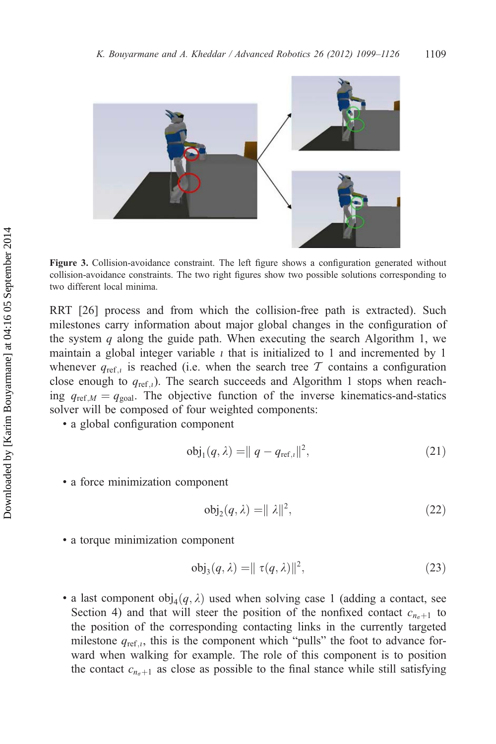

Figure 3. Collision-avoidance constraint. The left figure shows a configuration generated without collision-avoidance constraints. The two right figures show two possible solutions corresponding to two different local minima.

RRT [26] process and from which the collision-free path is extracted). Such milestones carry information about major global changes in the configuration of the system  $q$  along the guide path. When executing the search Algorithm 1, we maintain a global integer variable  $\iota$  that is initialized to 1 and incremented by 1 whenever  $q_{ref,i}$  is reached (i.e. when the search tree T contains a configuration close enough to  $q_{ref,i}$ ). The search succeeds and Algorithm 1 stops when reaching  $q_{ref,M} = q_{goal}$ . The objective function of the inverse kinematics-and-statics solver will be composed of four weighted components:

• a global configuration component

$$
obj_1(q, \lambda) = ||q - q_{ref, l}||^2,
$$
\n(21)

• a force minimization component

$$
\operatorname{obj}_2(q, \lambda) = ||\lambda||^2,\tag{22}
$$

• a torque minimization component

$$
\text{obj}_3(q,\lambda) = || \tau(q,\lambda) ||^2,\tag{23}
$$

• a last component  $obj_4(q, \lambda)$  used when solving case 1 (adding a contact, see Section 4) and that will steer the position of the nonfixed contact  $c_{n_{\sigma+1}}$  to the position of the corresponding contacting links in the currently targeted milestone  $q_{ref,i}$ , this is the component which "pulls" the foot to advance forward when walking for example. The role of this component is to position the contact  $c_{n_{\sigma+1}}$  as close as possible to the final stance while still satisfying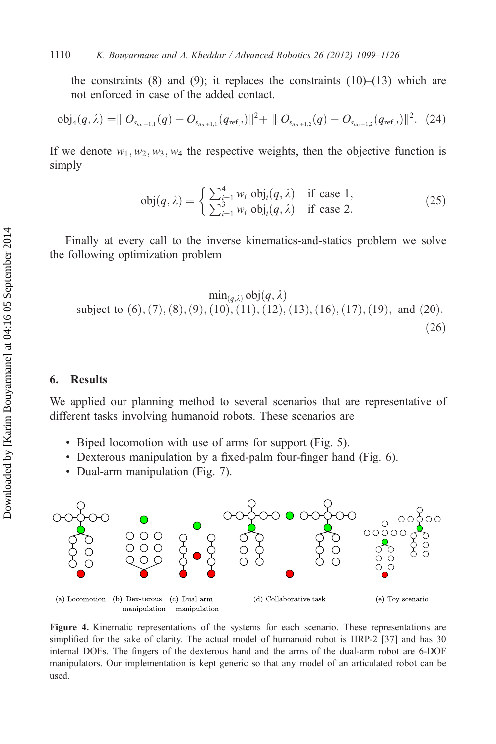the constraints (8) and (9); it replaces the constraints  $(10)$ – $(13)$  which are not enforced in case of the added contact.

$$
\text{obj}_4(q,\lambda) = || O_{s_{n_{\sigma}+1,1}}(q) - O_{s_{n_{\sigma}+1,1}}(q_{\text{ref},1})||^2 + || O_{s_{n_{\sigma}+1,2}}(q) - O_{s_{n_{\sigma}+1,2}}(q_{\text{ref},1})||^2. (24)
$$

If we denote  $w_1, w_2, w_3, w_4$  the respective weights, then the objective function is simply

$$
obj(q, \lambda) = \begin{cases} \sum_{i=1}^{4} w_i \ obj_i(q, \lambda) & \text{if case 1,} \\ \sum_{i=1}^{3} w_i \ obj_i(q, \lambda) & \text{if case 2.} \end{cases}
$$
 (25)

Finally at every call to the inverse kinematics-and-statics problem we solve the following optimization problem

$$
\min_{(q,\lambda)} \text{obj}(q,\lambda)
$$
\nsubject to (6), (7), (8), (9), (10), (11), (12), (13), (16), (17), (19), and (20).  
\n(26)

# 6. Results

We applied our planning method to several scenarios that are representative of different tasks involving humanoid robots. These scenarios are

- Biped locomotion with use of arms for support (Fig. 5).
- Dexterous manipulation by a fixed-palm four-finger hand (Fig. 6).
- Dual-arm manipulation (Fig. 7).



Figure 4. Kinematic representations of the systems for each scenario. These representations are simplified for the sake of clarity. The actual model of humanoid robot is HRP-2 [37] and has 30 internal DOFs. The fingers of the dexterous hand and the arms of the dual-arm robot are 6-DOF manipulators. Our implementation is kept generic so that any model of an articulated robot can be used.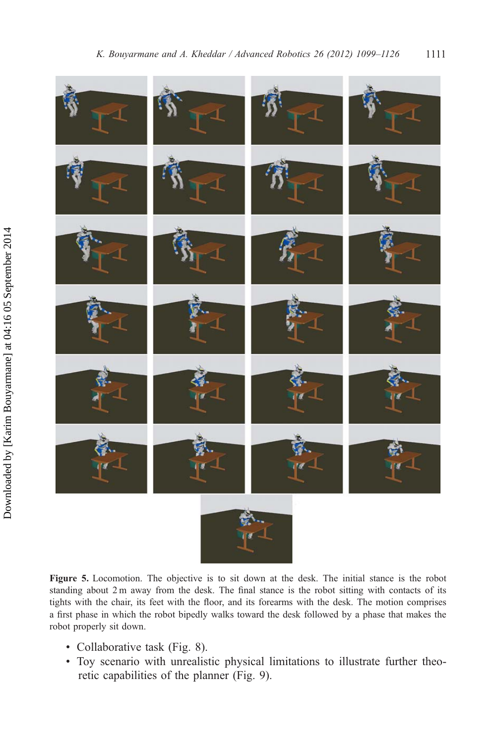

Figure 5. Locomotion. The objective is to sit down at the desk. The initial stance is the robot standing about 2 m away from the desk. The final stance is the robot sitting with contacts of its tights with the chair, its feet with the floor, and its forearms with the desk. The motion comprises a first phase in which the robot bipedly walks toward the desk followed by a phase that makes the robot properly sit down.

- Collaborative task (Fig. 8).
- Toy scenario with unrealistic physical limitations to illustrate further theoretic capabilities of the planner (Fig. 9).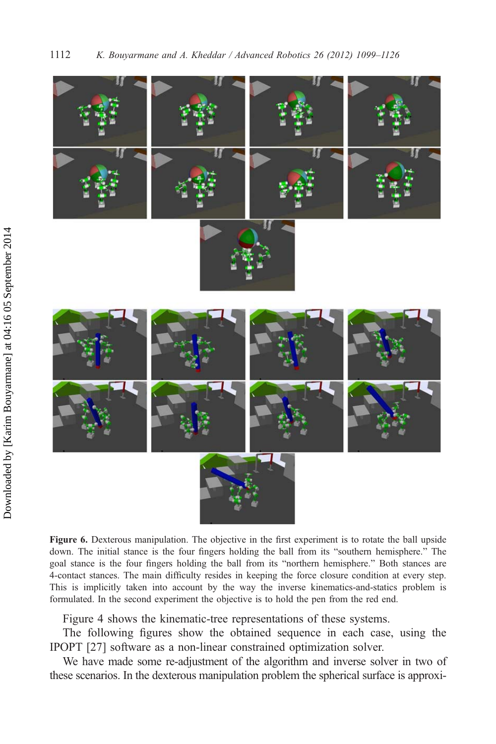

Figure 6. Dexterous manipulation. The objective in the first experiment is to rotate the ball upside down. The initial stance is the four fingers holding the ball from its "southern hemisphere." The goal stance is the four fingers holding the ball from its "northern hemisphere." Both stances are 4-contact stances. The main difficulty resides in keeping the force closure condition at every step. This is implicitly taken into account by the way the inverse kinematics-and-statics problem is formulated. In the second experiment the objective is to hold the pen from the red end.

Figure 4 shows the kinematic-tree representations of these systems.

The following figures show the obtained sequence in each case, using the IPOPT [27] software as a non-linear constrained optimization solver.

We have made some re-adjustment of the algorithm and inverse solver in two of these scenarios. In the dexterous manipulation problem the spherical surface is approxi-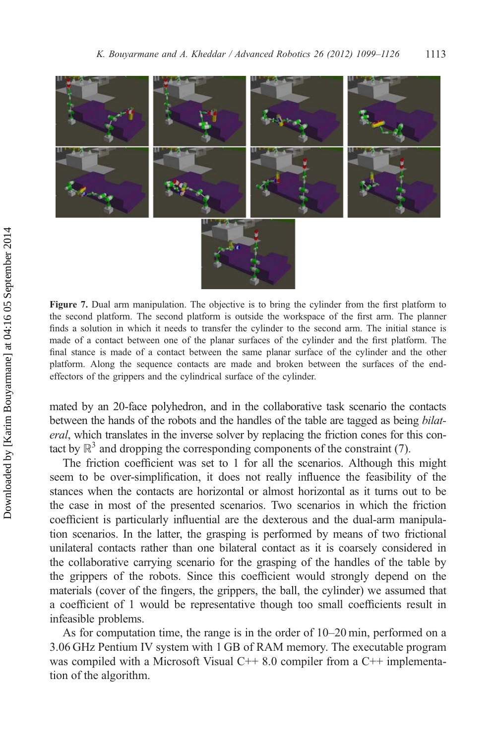

Figure 7. Dual arm manipulation. The objective is to bring the cylinder from the first platform to the second platform. The second platform is outside the workspace of the first arm. The planner finds a solution in which it needs to transfer the cylinder to the second arm. The initial stance is made of a contact between one of the planar surfaces of the cylinder and the first platform. The final stance is made of a contact between the same planar surface of the cylinder and the other platform. Along the sequence contacts are made and broken between the surfaces of the endeffectors of the grippers and the cylindrical surface of the cylinder.

mated by an 20-face polyhedron, and in the collaborative task scenario the contacts between the hands of the robots and the handles of the table are tagged as being bilateral, which translates in the inverse solver by replacing the friction cones for this contact by  $\mathbb{R}^3$  and dropping the corresponding components of the constraint (7).

The friction coefficient was set to 1 for all the scenarios. Although this might seem to be over-simplification, it does not really influence the feasibility of the stances when the contacts are horizontal or almost horizontal as it turns out to be the case in most of the presented scenarios. Two scenarios in which the friction coefficient is particularly influential are the dexterous and the dual-arm manipulation scenarios. In the latter, the grasping is performed by means of two frictional unilateral contacts rather than one bilateral contact as it is coarsely considered in the collaborative carrying scenario for the grasping of the handles of the table by the grippers of the robots. Since this coefficient would strongly depend on the materials (cover of the fingers, the grippers, the ball, the cylinder) we assumed that a coefficient of 1 would be representative though too small coefficients result in infeasible problems.

As for computation time, the range is in the order of 10–20 min, performed on a 3.06 GHz Pentium IV system with 1 GB of RAM memory. The executable program was compiled with a Microsoft Visual  $C++8.0$  compiler from a  $C++$  implementation of the algorithm.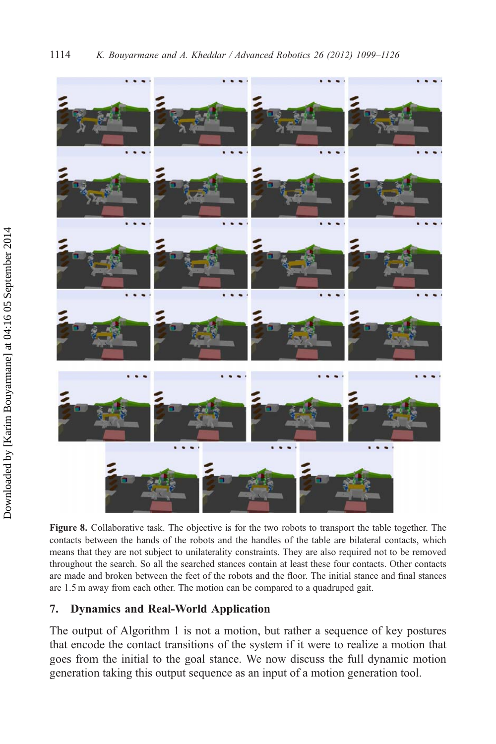

Figure 8. Collaborative task. The objective is for the two robots to transport the table together. The contacts between the hands of the robots and the handles of the table are bilateral contacts, which means that they are not subject to unilaterality constraints. They are also required not to be removed throughout the search. So all the searched stances contain at least these four contacts. Other contacts are made and broken between the feet of the robots and the floor. The initial stance and final stances are 1.5 m away from each other. The motion can be compared to a quadruped gait.

# 7. Dynamics and Real-World Application

The output of Algorithm 1 is not a motion, but rather a sequence of key postures that encode the contact transitions of the system if it were to realize a motion that goes from the initial to the goal stance. We now discuss the full dynamic motion generation taking this output sequence as an input of a motion generation tool.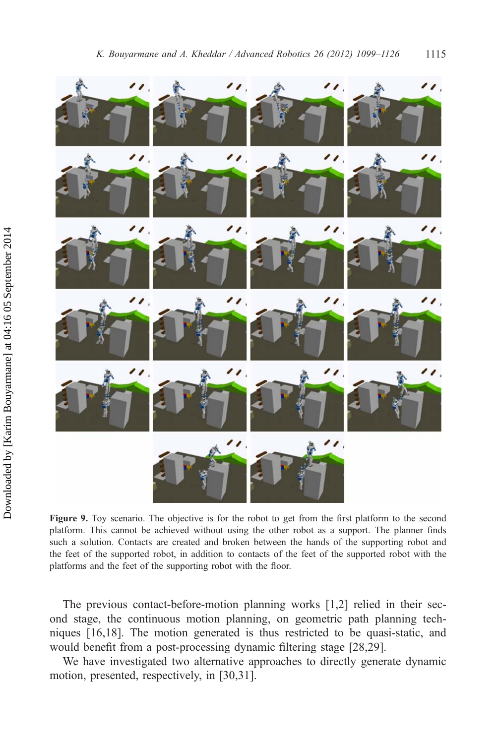

Figure 9. Toy scenario. The objective is for the robot to get from the first platform to the second platform. This cannot be achieved without using the other robot as a support. The planner finds such a solution. Contacts are created and broken between the hands of the supporting robot and the feet of the supported robot, in addition to contacts of the feet of the supported robot with the platforms and the feet of the supporting robot with the floor.

The previous contact-before-motion planning works [1,2] relied in their second stage, the continuous motion planning, on geometric path planning techniques [16,18]. The motion generated is thus restricted to be quasi-static, and would benefit from a post-processing dynamic filtering stage [28,29].

We have investigated two alternative approaches to directly generate dynamic motion, presented, respectively, in [30,31].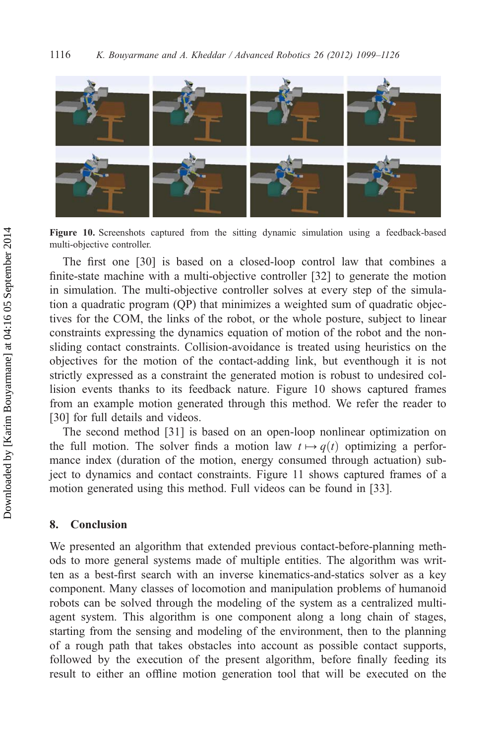

Figure 10. Screenshots captured from the sitting dynamic simulation using a feedback-based multi-objective controller.

The first one [30] is based on a closed-loop control law that combines a finite-state machine with a multi-objective controller [32] to generate the motion in simulation. The multi-objective controller solves at every step of the simulation a quadratic program (QP) that minimizes a weighted sum of quadratic objectives for the COM, the links of the robot, or the whole posture, subject to linear constraints expressing the dynamics equation of motion of the robot and the nonsliding contact constraints. Collision-avoidance is treated using heuristics on the objectives for the motion of the contact-adding link, but eventhough it is not strictly expressed as a constraint the generated motion is robust to undesired collision events thanks to its feedback nature. Figure 10 shows captured frames from an example motion generated through this method. We refer the reader to [30] for full details and videos.

The second method [31] is based on an open-loop nonlinear optimization on the full motion. The solver finds a motion law  $t \mapsto q(t)$  optimizing a performance index (duration of the motion, energy consumed through actuation) subject to dynamics and contact constraints. Figure 11 shows captured frames of a motion generated using this method. Full videos can be found in [33].

# 8. Conclusion

We presented an algorithm that extended previous contact-before-planning methods to more general systems made of multiple entities. The algorithm was written as a best-first search with an inverse kinematics-and-statics solver as a key component. Many classes of locomotion and manipulation problems of humanoid robots can be solved through the modeling of the system as a centralized multiagent system. This algorithm is one component along a long chain of stages, starting from the sensing and modeling of the environment, then to the planning of a rough path that takes obstacles into account as possible contact supports, followed by the execution of the present algorithm, before finally feeding its result to either an offline motion generation tool that will be executed on the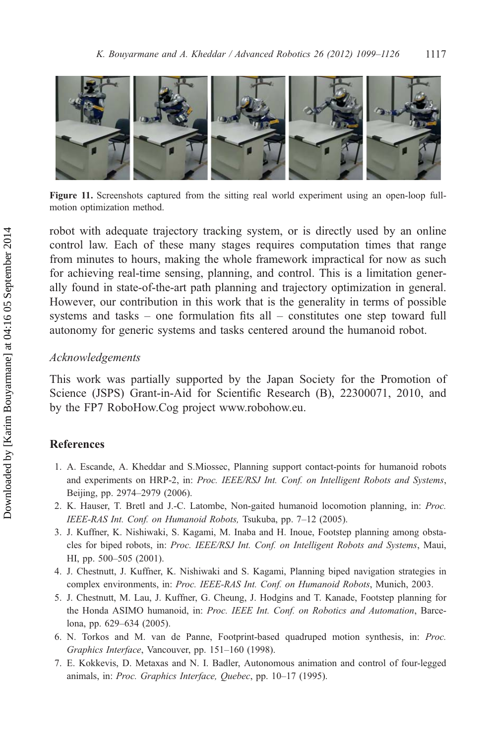

Figure 11. Screenshots captured from the sitting real world experiment using an open-loop fullmotion optimization method.

robot with adequate trajectory tracking system, or is directly used by an online control law. Each of these many stages requires computation times that range from minutes to hours, making the whole framework impractical for now as such for achieving real-time sensing, planning, and control. This is a limitation generally found in state-of-the-art path planning and trajectory optimization in general. However, our contribution in this work that is the generality in terms of possible systems and tasks – one formulation fits all – constitutes one step toward full autonomy for generic systems and tasks centered around the humanoid robot.

#### Acknowledgements

This work was partially supported by the Japan Society for the Promotion of Science (JSPS) Grant-in-Aid for Scientific Research (B), 22300071, 2010, and by the FP7 RoboHow.Cog project [www.robohow.eu](http://www.robohow.eu).

## References

- 1. A. Escande, A. Kheddar and S.Miossec, Planning support contact-points for humanoid robots and experiments on HRP-2, in: Proc. IEEE/RSJ Int. Conf. on Intelligent Robots and Systems, Beijing, pp. 2974–2979 (2006).
- 2. K. Hauser, T. Bretl and J.-C. Latombe, Non-gaited humanoid locomotion planning, in: Proc. IEEE-RAS Int. Conf. on Humanoid Robots, Tsukuba, pp. 7–12 (2005).
- 3. J. Kuffner, K. Nishiwaki, S. Kagami, M. Inaba and H. Inoue, Footstep planning among obstacles for biped robots, in: Proc. IEEE/RSJ Int. Conf. on Intelligent Robots and Systems, Maui, HI, pp. 500–505 (2001).
- 4. J. Chestnutt, J. Kuffner, K. Nishiwaki and S. Kagami, Planning biped navigation strategies in complex environments, in: Proc. IEEE-RAS Int. Conf. on Humanoid Robots, Munich, 2003.
- 5. J. Chestnutt, M. Lau, J. Kuffner, G. Cheung, J. Hodgins and T. Kanade, Footstep planning for the Honda ASIMO humanoid, in: Proc. IEEE Int. Conf. on Robotics and Automation, Barcelona, pp. 629–634 (2005).
- 6. N. Torkos and M. van de Panne, Footprint-based quadruped motion synthesis, in: Proc. Graphics Interface, Vancouver, pp. 151–160 (1998).
- 7. E. Kokkevis, D. Metaxas and N. I. Badler, Autonomous animation and control of four-legged animals, in: Proc. Graphics Interface, Quebec, pp. 10–17 (1995).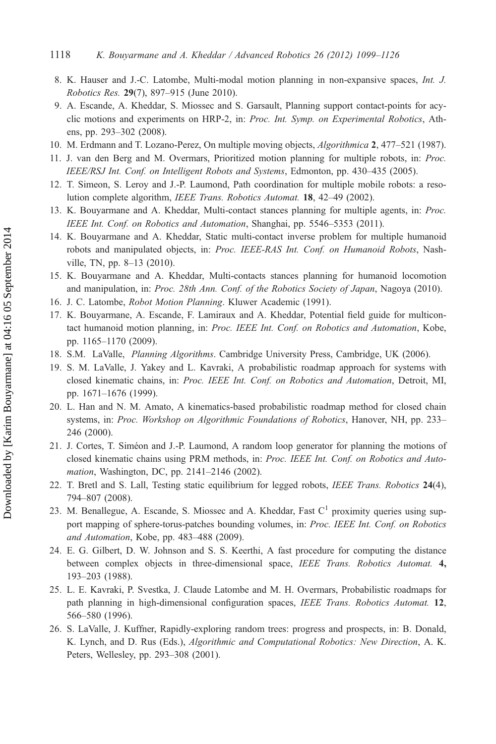- 8. K. Hauser and J.-C. Latombe, Multi-modal motion planning in non-expansive spaces, Int. J. Robotics Res. 29(7), 897–915 (June 2010).
- 9. A. Escande, A. Kheddar, S. Miossec and S. Garsault, Planning support contact-points for acyclic motions and experiments on HRP-2, in: Proc. Int. Symp. on Experimental Robotics, Athens, pp. 293–302 (2008).
- 10. M. Erdmann and T. Lozano-Perez, On multiple moving objects, Algorithmica 2, 477–521 (1987).
- 11. J. van den Berg and M. Overmars, Prioritized motion planning for multiple robots, in: Proc. IEEE/RSJ Int. Conf. on Intelligent Robots and Systems, Edmonton, pp. 430–435 (2005).
- 12. T. Simeon, S. Leroy and J.-P. Laumond, Path coordination for multiple mobile robots: a resolution complete algorithm, IEEE Trans. Robotics Automat. 18, 42–49 (2002).
- 13. K. Bouyarmane and A. Kheddar, Multi-contact stances planning for multiple agents, in: Proc. IEEE Int. Conf. on Robotics and Automation, Shanghai, pp. 5546–5353 (2011).
- 14. K. Bouyarmane and A. Kheddar, Static multi-contact inverse problem for multiple humanoid robots and manipulated objects, in: Proc. IEEE-RAS Int. Conf. on Humanoid Robots, Nashville, TN, pp. 8–13 (2010).
- 15. K. Bouyarmane and A. Kheddar, Multi-contacts stances planning for humanoid locomotion and manipulation, in: Proc. 28th Ann. Conf. of the Robotics Society of Japan, Nagoya (2010).
- 16. J. C. Latombe, Robot Motion Planning. Kluwer Academic (1991).
- 17. K. Bouyarmane, A. Escande, F. Lamiraux and A. Kheddar, Potential field guide for multicontact humanoid motion planning, in: Proc. IEEE Int. Conf. on Robotics and Automation, Kobe, pp. 1165–1170 (2009).
- 18. S.M. LaValle, Planning Algorithms. Cambridge University Press, Cambridge, UK (2006).
- 19. S. M. LaValle, J. Yakey and L. Kavraki, A probabilistic roadmap approach for systems with closed kinematic chains, in: Proc. IEEE Int. Conf. on Robotics and Automation, Detroit, MI, pp. 1671–1676 (1999).
- 20. L. Han and N. M. Amato, A kinematics-based probabilistic roadmap method for closed chain systems, in: Proc. Workshop on Algorithmic Foundations of Robotics, Hanover, NH, pp. 233– 246 (2000).
- 21. J. Cortes, T. Siméon and J.-P. Laumond, A random loop generator for planning the motions of closed kinematic chains using PRM methods, in: Proc. IEEE Int. Conf. on Robotics and Automation, Washington, DC, pp. 2141–2146 (2002).
- 22. T. Bretl and S. Lall, Testing static equilibrium for legged robots, IEEE Trans. Robotics 24(4), 794–807 (2008).
- 23. M. Benallegue, A. Escande, S. Miossec and A. Kheddar, Fast  $C<sup>1</sup>$  proximity queries using support mapping of sphere-torus-patches bounding volumes, in: Proc. IEEE Int. Conf. on Robotics and Automation, Kobe, pp. 483–488 (2009).
- 24. E. G. Gilbert, D. W. Johnson and S. S. Keerthi, A fast procedure for computing the distance between complex objects in three-dimensional space, IEEE Trans. Robotics Automat. 4, 193–203 (1988).
- 25. L. E. Kavraki, P. Svestka, J. Claude Latombe and M. H. Overmars, Probabilistic roadmaps for path planning in high-dimensional configuration spaces, IEEE Trans. Robotics Automat. 12, 566–580 (1996).
- 26. S. LaValle, J. Kuffner, Rapidly-exploring random trees: progress and prospects, in: B. Donald, K. Lynch, and D. Rus (Eds.), Algorithmic and Computational Robotics: New Direction, A. K. Peters, Wellesley, pp. 293–308 (2001).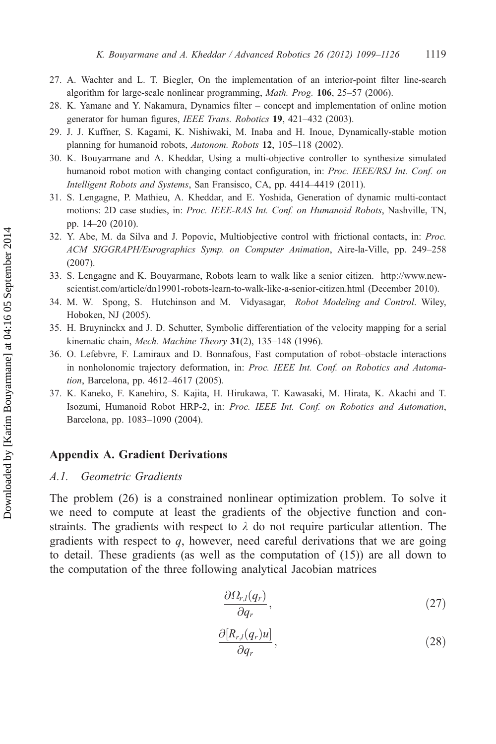- 27. A. Wachter and L. T. Biegler, On the implementation of an interior-point filter line-search algorithm for large-scale nonlinear programming, Math. Prog. 106, 25–57 (2006).
- 28. K. Yamane and Y. Nakamura, Dynamics filter concept and implementation of online motion generator for human figures, IEEE Trans. Robotics 19, 421-432 (2003).
- 29. J. J. Kuffner, S. Kagami, K. Nishiwaki, M. Inaba and H. Inoue, Dynamically-stable motion planning for humanoid robots, Autonom. Robots 12, 105–118 (2002).
- 30. K. Bouyarmane and A. Kheddar, Using a multi-objective controller to synthesize simulated humanoid robot motion with changing contact configuration, in: Proc. IEEE/RSJ Int. Conf. on Intelligent Robots and Systems, San Fransisco, CA, pp. 4414–4419 (2011).
- 31. S. Lengagne, P. Mathieu, A. Kheddar, and E. Yoshida, Generation of dynamic multi-contact motions: 2D case studies, in: Proc. IEEE-RAS Int. Conf. on Humanoid Robots, Nashville, TN, pp. 14–20 (2010).
- 32. Y. Abe, M. da Silva and J. Popovic, Multiobjective control with frictional contacts, in: Proc. ACM SIGGRAPH/Eurographics Symp. on Computer Animation, Aire-la-Ville, pp. 249–258 (2007).
- 33. S. Lengagne and K. Bouyarmane, Robots learn to walk like a senior citizen. [http://www.new](http://%20http://www.newscientist.com/article/dn19901-robots-learn-to-walk-like-a-senior-citizen.html)[scientist.com/article/dn19901-robots-learn-to-walk-like-a-senior-citizen.html](http://%20http://www.newscientist.com/article/dn19901-robots-learn-to-walk-like-a-senior-citizen.html) (December 2010).
- 34. M. W. Spong, S. Hutchinson and M. Vidyasagar, Robot Modeling and Control. Wiley, Hoboken, NJ (2005).
- 35. H. Bruyninckx and J. D. Schutter, Symbolic differentiation of the velocity mapping for a serial kinematic chain, Mech. Machine Theory 31(2), 135-148 (1996).
- 36. O. Lefebvre, F. Lamiraux and D. Bonnafous, Fast computation of robot–obstacle interactions in nonholonomic trajectory deformation, in: Proc. IEEE Int. Conf. on Robotics and Automation, Barcelona, pp. 4612–4617 (2005).
- 37. K. Kaneko, F. Kanehiro, S. Kajita, H. Hirukawa, T. Kawasaki, M. Hirata, K. Akachi and T. Isozumi, Humanoid Robot HRP-2, in: Proc. IEEE Int. Conf. on Robotics and Automation, Barcelona, pp. 1083–1090 (2004).

# Appendix A. Gradient Derivations

#### A.1. Geometric Gradients

The problem (26) is a constrained nonlinear optimization problem. To solve it we need to compute at least the gradients of the objective function and constraints. The gradients with respect to  $\lambda$  do not require particular attention. The gradients with respect to  $q$ , however, need careful derivations that we are going to detail. These gradients (as well as the computation of (15)) are all down to the computation of the three following analytical Jacobian matrices

$$
\frac{\partial \Omega_{r,l}(q_r)}{\partial q_r},\tag{27}
$$

$$
\frac{\partial [R_{r,l}(q_r)u]}{\partial q_r},\qquad(28)
$$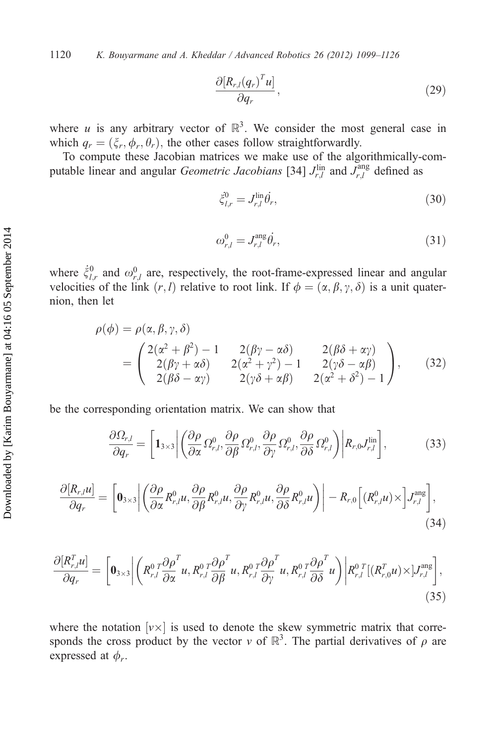1120 K. Bouyarmane and A. Kheddar / Advanced Robotics 26 (2012) 1099–1126

$$
\frac{\partial [R_{r,l}(q_r)^T u]}{\partial q_r},\qquad(29)
$$

where *u* is any arbitrary vector of  $\mathbb{R}^3$ . We consider the most general case in which  $q_r = (\xi_r, \phi_r, \theta_r)$ , the other cases follow straightforwardly.

To compute these Jacobian matrices we make use of the algorithmically-computable linear and angular *Geometric Jacobians* [34]  $J_{r,l}^{\text{lin}}$  and  $J_{r,l}^{\text{ang}}$  defined as

$$
\xi_{l,r}^{0} = J_{r,l}^{\text{lin}} \dot{\theta_r},\tag{30}
$$

$$
\omega_{r,l}^0 = J_{r,l}^{\text{ang}} \dot{\theta_r},\tag{31}
$$

where  $\dot{\xi}_{l,r}^0$  and  $\omega_{r,l}^0$  are, respectively, the root-frame-expressed linear and angular velocities of the link  $(r, l)$  relative to root link. If  $\phi = (\alpha, \beta, \gamma, \delta)$  is a unit quaternion, then let

$$
\rho(\phi) = \rho(\alpha, \beta, \gamma, \delta)
$$
  
= 
$$
\begin{pmatrix} 2(\alpha^2 + \beta^2) - 1 & 2(\beta\gamma - \alpha\delta) & 2(\beta\delta + \alpha\gamma) \\ 2(\beta\gamma + \alpha\delta) & 2(\alpha^2 + \gamma^2) - 1 & 2(\gamma\delta - \alpha\beta) \\ 2(\beta\delta - \alpha\gamma) & 2(\gamma\delta + \alpha\beta) & 2(\alpha^2 + \delta^2) - 1 \end{pmatrix},
$$
 (32)

be the corresponding orientation matrix. We can show that

$$
\frac{\partial \Omega_{r,l}}{\partial q_r} = \left[ \mathbf{1}_{3\times3} \middle| \left( \frac{\partial \rho}{\partial \alpha} \Omega_{r,l}^0, \frac{\partial \rho}{\partial \beta} \Omega_{r,l}^0, \frac{\partial \rho}{\partial \gamma} \Omega_{r,l}^0, \frac{\partial \rho}{\partial \delta} \Omega_{r,l}^0 \right) \middle| R_{r,0} J_{r,l}^{\text{lin}} \right],\tag{33}
$$

$$
\frac{\partial [R_{r,l}u]}{\partial q_r} = \left[ \mathbf{0}_{3\times3} \middle| \left( \frac{\partial \rho}{\partial \alpha} R_{r,l}^0 u, \frac{\partial \rho}{\partial \beta} R_{r,l}^0 u, \frac{\partial \rho}{\partial \gamma} R_{r,l}^0 u, \frac{\partial \rho}{\partial \delta} R_{r,l}^0 u \right) \right] - R_{r,0} \left[ (R_{r,l}^0 u) \times \left] J_{r,l}^{\text{ang}} \right],\tag{34}
$$

$$
\frac{\partial [R_{r,l}^T u]}{\partial q_r} = \left[ \mathbf{0}_{3\times3} \middle| \left( R_{r,l}^0 \frac{\partial \rho^T}{\partial \alpha} u, R_{r,l}^0 \frac{\partial \rho^T}{\partial \beta} u, R_{r,l}^0 \frac{\partial \rho^T}{\partial \gamma} u, R_{r,l}^0 \frac{\partial \rho^T}{\partial \delta} u \right) \middle| R_{r,l}^0 \left[ (R_{r,0}^T u) \times \left| J_{r,l}^{\text{ang}} \right| \right],
$$
\n(35)

where the notation  $[v \times]$  is used to denote the skew symmetric matrix that corresponds the cross product by the vector v of  $\mathbb{R}^3$ . The partial derivatives of  $\rho$  are expressed at  $\phi_r$ .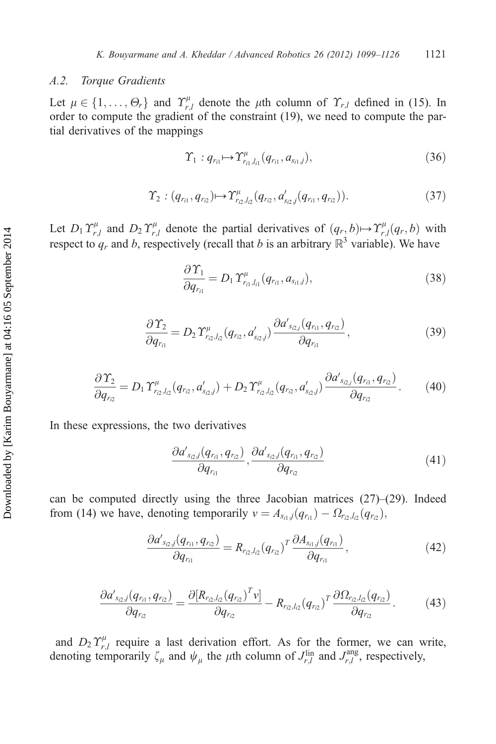## A.2. Torque Gradients

Let  $\mu \in \{1, ..., \Theta_r\}$  and  $\Upsilon_{r,l}^{\mu}$  denote the  $\mu$ th column of  $\Upsilon_{r,l}$  defined in (15). In order to compute the gradient of the constraint (19), we need to compute the parorder to compute the gradient of the constraint (19), we need to compute the partial derivatives of the mappings

$$
\Upsilon_1: q_{r_{i1}} \mapsto \Upsilon_{r_{i1},l_{i1}}^{\mu}(q_{r_{i1}},a_{s_{i1},j}), \qquad (36)
$$

$$
\Upsilon_2: (q_{r_{i1}}, q_{r_{i2}}) \mapsto \Upsilon_{r_{i2}, l_{i2}}^{\mu}(q_{r_{i2}}, d'_{s_{i2}, j}(q_{r_{i1}}, q_{r_{i2}})). \tag{37}
$$

Let  $D_1 T_{r,l}^{\mu}$  and  $D_2 T_{r,l}^{\mu}$  denote the partial derivatives of  $(q_r, b) \mapsto T_{r,l}^{\mu}(q_r, b)$  with respect to a and b respectively (recall that b is an arbitrary  $\mathbb{R}^3$  variable). We have respect to  $q_r$  and b, respectively (recall that b is an arbitrary  $\mathbb{R}^3$  variable). We have

$$
\frac{\partial \Upsilon_1}{\partial q_{r_{i1}}} = D_1 \Upsilon_{r_{i1},l_{i1}}^{\mu} (q_{r_{i1}}, a_{s_{i1},j}), \qquad (38)
$$

$$
\frac{\partial \Upsilon_2}{\partial q_{r_{i1}}} = D_2 \Upsilon_{r_{i2},l_{i2}}^{\mu} (q_{r_{i2}},q_{s_{i2},j}) \frac{\partial a_{s_{i2},j}^{\prime} (q_{r_{i1}},q_{r_{i2}})}{\partial q_{r_{i1}}},\tag{39}
$$

$$
\frac{\partial \Upsilon_2}{\partial q_{r_2}} = D_1 \Upsilon_{r_2,l_2}^{\mu}(q_{r_2},d'_{s_2,j}) + D_2 \Upsilon_{r_2,l_2}^{\mu}(q_{r_2},d'_{s_2,j}) \frac{\partial d'_{s_2,j}(q_{r_1},q_{r_2})}{\partial q_{r_2}}.
$$
(40)

In these expressions, the two derivatives

$$
\frac{\partial a'_{s_2,j}(q_{r_{i1}},q_{r_{i2}})}{\partial q_{r_{i1}}}, \frac{\partial a'_{s_2,j}(q_{r_{i1}},q_{r_{i2}})}{\partial q_{r_{i2}}}
$$
(41)

can be computed directly using the three Jacobian matrices  $(27)$ – $(29)$ . Indeed from (14) we have, denoting temporarily  $v = A_{s_{i1},j}(q_{r_{i1}}) - \Omega_{r_{i2},l_{i2}}(q_{r_{i2}})$ ,

$$
\frac{\partial a'_{s_{i2},j}(q_{r_{i1}}, q_{r_{i2}})}{\partial q_{r_{i1}}} = R_{r_{i2},l_{i2}}(q_{r_{i2}})^T \frac{\partial A_{s_{i1},j}(q_{r_{i1}})}{\partial q_{r_{i1}}},
$$
(42)

$$
\frac{\partial a'_{s_{i2},j}(q_{r_{i1}},q_{r_{i2}})}{\partial q_{r_{i2}}} = \frac{\partial [R_{r_{i2},l_{i2}}(q_{r_{i2}})^T v]}{\partial q_{r_{i2}}} - R_{r_{i2},l_{i2}}(q_{r_{i2}})^T \frac{\partial \Omega_{r_{i2},l_{i2}}(q_{r_{i2}})}{\partial q_{r_{i2}}}.
$$
(43)

and  $D_2 \Upsilon_{r,l}^{\mu}$  require a last derivation effort. As for the former, we can write, denoting temporarily  $\zeta_{\mu}$  and  $\psi_{\mu}$  the  $\mu$ th column of  $J_{r,l}^{\text{lin}}$  and  $J_{r,l}^{\text{ang}}$ , respectively,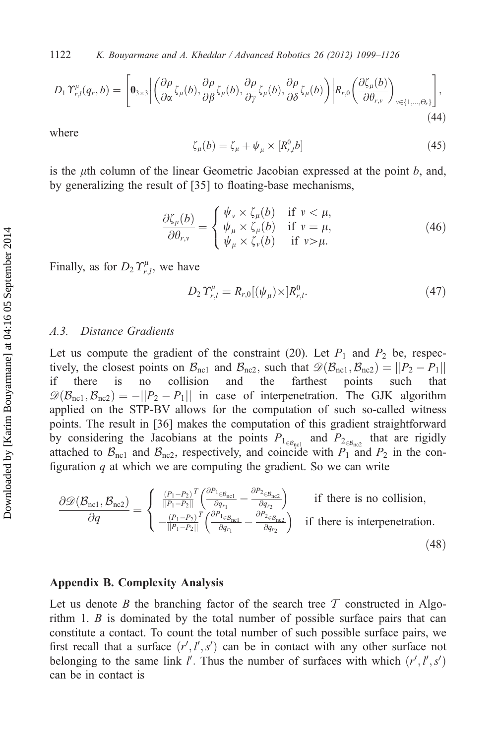$$
D_1 \Upsilon_{r,l}^{\mu}(q_r, b) = \left[ \mathbf{0}_{3 \times 3} \middle| \left( \frac{\partial \rho}{\partial \alpha} \zeta_{\mu}(b), \frac{\partial \rho}{\partial \beta} \zeta_{\mu}(b), \frac{\partial \rho}{\partial \gamma} \zeta_{\mu}(b), \frac{\partial \rho}{\partial \delta} \zeta_{\mu}(b) \right) \middle| R_{r,0} \left( \frac{\partial \zeta_{\mu}(b)}{\partial \theta_{r,\nu}} \right)_{\nu \in \{1, \dots, \Theta_r\}} \right],
$$
\n(44)

where

$$
\zeta_{\mu}(b) = \zeta_{\mu} + \psi_{\mu} \times [R_{r,l}^{0}b]
$$
\n(45)

is the  $\mu$ th column of the linear Geometric Jacobian expressed at the point b, and, by generalizing the result of [35] to floating-base mechanisms,

$$
\frac{\partial \zeta_{\mu}(b)}{\partial \theta_{r,v}} = \begin{cases} \psi_{v} \times \zeta_{\mu}(b) & \text{if } v < \mu, \\ \psi_{\mu} \times \zeta_{\mu}(b) & \text{if } v = \mu, \\ \psi_{\mu} \times \zeta_{v}(b) & \text{if } v > \mu. \end{cases}
$$
(46)

Finally, as for  $D_2 T_{r,l}^{\mu}$ , we have

$$
D_2 \Upsilon_{r,l}^{\mu} = R_{r,0} [(\psi_{\mu}) \times] R_{r,l}^0. \tag{47}
$$

# A.3. Distance Gradients

Let us compute the gradient of the constraint (20). Let  $P_1$  and  $P_2$  be, respectively, the closest points on  $\mathcal{B}_{\text{nc1}}$  and  $\mathcal{B}_{\text{nc2}}$ , such that  $\mathcal{D}(\mathcal{B}_{\text{nc1}}, \mathcal{B}_{\text{nc2}}) = ||P_2 - P_1||$ <br>if there is no collision and the farthest points such that if there is no collision and the farthest points such that  $\mathcal{D}(\mathcal{B}_{\text{nc}1}, \mathcal{B}_{\text{nc}2}) = -||P_2 - P_1||$  in case of interpenetration. The GJK algorithm<br>annulied on the STP-BV allows for the computation of such so-called witness applied on the STP-BV allows for the computation of such so-called witness points. The result in [36] makes the computation of this gradient straightforward by considering the Jacobians at the points  $P_{1_{\in \mathcal{B}_{\text{nc}}}$  and  $P_{2_{\in \mathcal{B}_{\text{nc}}}$  that are rigidly attached to  $\mathcal{B}_{\text{nc1}}$  and  $\mathcal{B}_{\text{nc2}}$ , respectively, and coincide with  $P_1$  and  $P_2$  in the configuration  $q$  at which we are computing the gradient. So we can write

$$
\frac{\partial \mathcal{D}(\mathcal{B}_{\text{nc1}}, \mathcal{B}_{\text{nc2}})}{\partial q} = \begin{cases} \frac{(P_1 - P_2)^T}{||P_1 - P_2||} \left( \frac{\partial P_1_{\in \mathcal{B}_{\text{nc1}}}}{\partial q_{r_1}} - \frac{\partial P_2_{\in \mathcal{B}_{\text{nc2}}}}{\partial q_{r_2}} \right) & \text{if there is no collision,} \\ -\frac{(P_1 - P_2)^T}{||P_1 - P_2||} \left( \frac{\partial P_1_{\in \mathcal{B}_{\text{nc1}}}}{\partial q_{r_1}} - \frac{\partial P_2_{\in \mathcal{B}_{\text{nc2}}}}{\partial q_{r_2}} \right) & \text{if there is interpretation.} \end{cases}
$$
(48)

# Appendix B. Complexity Analysis

Let us denote B the branching factor of the search tree  $\mathcal T$  constructed in Algorithm 1. B is dominated by the total number of possible surface pairs that can constitute a contact. To count the total number of such possible surface pairs, we first recall that a surface  $(r', l', s')$  can be in contact with any other surface not<br>belonging to the same link  $l'$ . Thus the number of surfaces with which  $(r', l', s')$ belonging to the same link l'. Thus the number of surfaces with which  $(r', l', s')$ can be in contact is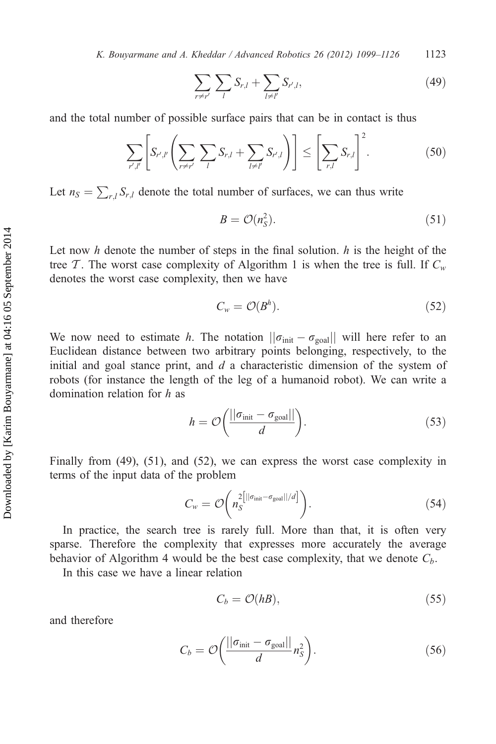K. Bouyarmane and A. Kheddar / Advanced Robotics  $26$  (2012) 1099–1126 1123

$$
\sum_{r \neq r'} \sum_{l} S_{r,l} + \sum_{l \neq l'} S_{r',l}, \tag{49}
$$

and the total number of possible surface pairs that can be in contact is thus

$$
\sum_{r',l'} \left[ S_{r',l'} \left( \sum_{r \neq r'} \sum_l S_{r,l} + \sum_{l \neq l'} S_{r',l} \right) \right] \leq \left[ \sum_{r,l} S_{r,l} \right]^2.
$$
 (50)

Let  $n_S = \sum_{r,l} S_{r,l}$  denote the total number of surfaces, we can thus write

$$
B = \mathcal{O}(n_S^2). \tag{51}
$$

Let now h denote the number of steps in the final solution.  $h$  is the height of the tree T. The worst case complexity of Algorithm 1 is when the tree is full. If  $C_w$ denotes the worst case complexity, then we have

$$
C_w = \mathcal{O}(B^h). \tag{52}
$$

We now need to estimate h. The notation  $||\sigma_{init} - \sigma_{goal}||$  will here refer to an Euclidean distance between two arbitrary points belonging respectively to the Euclidean distance between two arbitrary points belonging, respectively, to the initial and goal stance print, and  $d$  a characteristic dimension of the system of robots (for instance the length of the leg of a humanoid robot). We can write a domination relation for h as

$$
h = \mathcal{O}\left(\frac{||\sigma_{\text{init}} - \sigma_{\text{goal}}||}{d}\right). \tag{53}
$$

Finally from (49), (51), and (52), we can express the worst case complexity in terms of the input data of the problem

$$
C_w = \mathcal{O}\left(n_S^{2\left[\left|\left|\sigma_{\text{init}} - \sigma_{\text{goal}}\right|\right|/d\right]}\right).
$$
\n(54)

In practice, the search tree is rarely full. More than that, it is often very sparse. Therefore the complexity that expresses more accurately the average behavior of Algorithm 4 would be the best case complexity, that we denote  $C_b$ .

In this case we have a linear relation

$$
C_b = \mathcal{O}(hB),\tag{55}
$$

and therefore

$$
C_b = \mathcal{O}\left(\frac{||\sigma_{\text{init}} - \sigma_{\text{goal}}||}{d}n_S^2\right).
$$
 (56)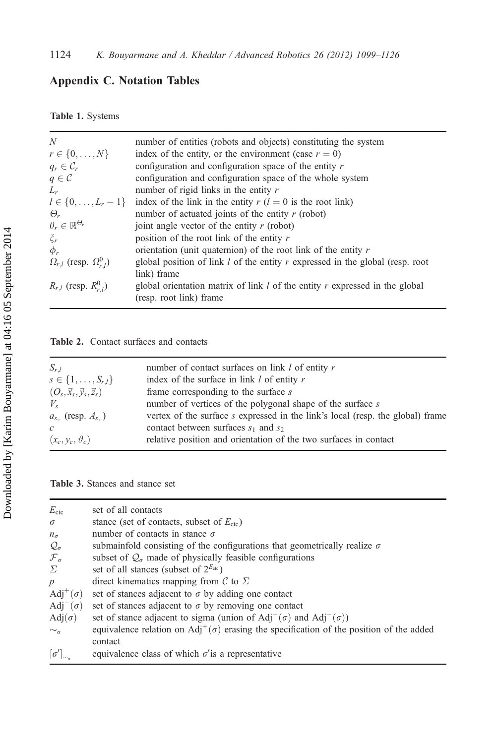# Appendix C. Notation Tables

Table 1. Systems

| N                                        | number of entities (robots and objects) constituting the system                 |
|------------------------------------------|---------------------------------------------------------------------------------|
| $r \in \{0, , N\}$                       | index of the entity, or the environment (case $r = 0$ )                         |
| $q_r \in \mathcal{C}_r$                  | configuration and configuration space of the entity $r$                         |
| $q \in \mathcal{C}$                      | configuration and configuration space of the whole system                       |
| $L_r$                                    | number of rigid links in the entity $r$                                         |
| $l \in \{0, \ldots, L_r - 1\}$           | index of the link in the entity $r(l = 0$ is the root link)                     |
| $\Theta_r$                               | number of actuated joints of the entity $r$ (robot)                             |
| $\theta_r \in \mathbb{R}^{\Theta_r}$     | joint angle vector of the entity $r$ (robot)                                    |
| $\zeta_r$                                | position of the root link of the entity $r$                                     |
| $\phi_r$                                 | orientation (unit quaternion) of the root link of the entity $r$                |
| $\Omega_{r,l}$ (resp. $\Omega_{r,l}^0$ ) | global position of link $l$ of the entity r expressed in the global (resp. root |
|                                          | link) frame                                                                     |
| $R_{r,l}$ (resp. $R_{r,l}^{0}$ )         | global orientation matrix of link $l$ of the entity $r$ expressed in the global |
|                                          | (resp. root link) frame                                                         |

## Table 2. Contact surfaces and contacts

| $S_{r,l}$                                | number of contact surfaces on link $l$ of entity $r$                           |
|------------------------------------------|--------------------------------------------------------------------------------|
| $s \in \{1, \ldots, S_{r,l}\}\$          | index of the surface in link $l$ of entity $r$                                 |
| $(O_s, \vec{x}_s, \vec{y}_s, \vec{z}_s)$ | frame corresponding to the surface $s$                                         |
| $V_{s}$                                  | number of vertices of the polygonal shape of the surface s                     |
| $a_{s}$ (resp. $A_{s}$ )                 | vertex of the surface s expressed in the link's local (resp. the global) frame |
| $\mathcal{C}$                            | contact between surfaces $s_1$ and $s_2$                                       |
| $(x_c, y_c, \vartheta_c)$                | relative position and orientation of the two surfaces in contact               |
|                                          |                                                                                |

Table 3. Stances and stance set

| $E_{\rm ctc}$                         | set of all contacts                                                                                          |
|---------------------------------------|--------------------------------------------------------------------------------------------------------------|
| $\sigma$                              | stance (set of contacts, subset of $E_{\text{ctc}}$ )                                                        |
| $n_{\sigma}$                          | number of contacts in stance $\sigma$                                                                        |
| $\mathcal{Q}_{\sigma}$                | submainfold consisting of the configurations that geometrically realize $\sigma$                             |
| ${\mathcal F}_\sigma$                 | subset of $\mathcal{Q}_{\sigma}$ made of physically feasible configurations                                  |
| $\Sigma$                              | set of all stances (subset of $2^{E_{\text{ctc}}}\)$                                                         |
| p                                     | direct kinematics mapping from $\mathcal C$ to $\Sigma$                                                      |
| $\text{Adj}^+(\sigma)$                | set of stances adjacent to $\sigma$ by adding one contact                                                    |
| Adj <sup><math>-(\sigma)</math></sup> | set of stances adjacent to $\sigma$ by removing one contact                                                  |
| $Adj(\sigma)$                         | set of stance adjacent to sigma (union of Adj <sup>+</sup> ( $\sigma$ ) and Adj <sup>-</sup> ( $\sigma$ ))   |
| $\sim_{\sigma}$                       | equivalence relation on Adj <sup>+</sup> ( $\sigma$ ) erasing the specification of the position of the added |
|                                       | contact                                                                                                      |
| $\left[\sigma'\right]_{\sim_c}$       | equivalence class of which $\sigma$ ' is a representative                                                    |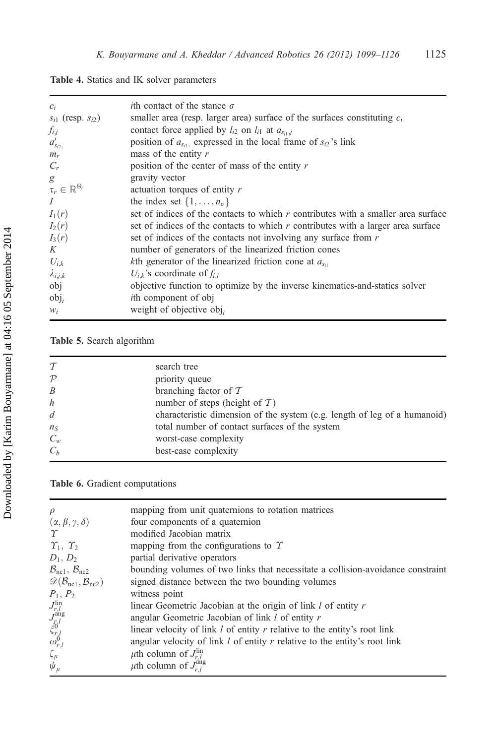Table 4. Statics and IK solver parameters

| $c_i$                              | <i>i</i> th contact of the stance $\sigma$                                          |
|------------------------------------|-------------------------------------------------------------------------------------|
| $s_{i1}$ (resp. $s_{i2}$ )         | smaller area (resp. larger area) surface of the surfaces constituting $c_i$         |
| $f_{i,j}$                          | contact force applied by $l_{i2}$ on $l_{i1}$ at $a_{s_{i1},j}$                     |
| $a'_{s_{i2}}$                      | position of $a_{s_{i1}}$ expressed in the local frame of $s_{i2}$ 's link           |
| $m_r$                              | mass of the entity $r$                                                              |
| $C_r$                              | position of the center of mass of the entity $r$                                    |
| g                                  | gravity vector                                                                      |
| $\tau_r \in \mathbb{R}^{\Theta_r}$ | actuation torques of entity r                                                       |
| $\overline{I}$                     | the index set $\{1, \ldots, n_{\sigma}\}\$                                          |
| $I_1(r)$                           | set of indices of the contacts to which $r$ contributes with a smaller area surface |
| $I_2(r)$                           | set of indices of the contacts to which $r$ contributes with a larger area surface  |
| $I_3(r)$                           | set of indices of the contacts not involving any surface from r                     |
| K                                  | number of generators of the linearized friction cones                               |
| $U_{i,k}$                          | kth generator of the linearized friction cone at $a_{s_{i}}$                        |
| $\lambda_{i,j,k}$                  | $U_{i,k}$ 's coordinate of $f_{i,i}$                                                |
| obj                                | objective function to optimize by the inverse kinematics-and-statics solver         |
| $obj_i$                            | <i>i</i> th component of obj                                                        |
| $W_i$                              | weight of objective $obj_i$                                                         |

# Table 5. Search algorithm

| $\tau$           | search tree                                                               |
|------------------|---------------------------------------------------------------------------|
| $\mathcal{P}$    | priority queue                                                            |
| B                | branching factor of $T$                                                   |
| $\boldsymbol{h}$ | number of steps (height of $T$ )                                          |
| d                | characteristic dimension of the system (e.g. length of leg of a humanoid) |
| $n_S$            | total number of contact surfaces of the system                            |
| $C_w$            | worst-case complexity                                                     |
| $C_h$            | best-case complexity                                                      |

Table 6. Gradient computations

| $\rho$                                                                                                               | mapping from unit quaternions to rotation matrices                              |
|----------------------------------------------------------------------------------------------------------------------|---------------------------------------------------------------------------------|
| $(\alpha, \beta, \gamma, \delta)$                                                                                    | four components of a quaternion                                                 |
| $\gamma$                                                                                                             | modified Jacobian matrix                                                        |
| $\Upsilon_1, \Upsilon_2$                                                                                             | mapping from the configurations to $\Upsilon$                                   |
| $D_1, D_2$                                                                                                           | partial derivative operators                                                    |
| $\mathcal{B}_{\text{nc1}}, \mathcal{B}_{\text{nc2}}$                                                                 | bounding volumes of two links that necessitate a collision-avoidance constraint |
| $\mathscr{D}(\mathcal{B}_{\rm nc1}, \mathcal{B}_{\rm nc2})$                                                          | signed distance between the two bounding volumes                                |
| $P_1, P_2$                                                                                                           | witness point                                                                   |
|                                                                                                                      | linear Geometric Jacobian at the origin of link l of entity r                   |
|                                                                                                                      | angular Geometric Jacobian of link l of entity r                                |
|                                                                                                                      | linear velocity of link $l$ of entity $r$ relative to the entity's root link    |
| $\begin{array}{l} J^{\mathrm{lin}}_{r,l} \\ J^{\mathrm{ang}}_{r,l} \\ \xi^{0}_{r,l} \\ \omega^{0}_{r,l} \end{array}$ | angular velocity of link $l$ of entity $r$ relative to the entity's root link   |
| $\zeta_\mu$                                                                                                          | $\mu$ th column of $J_{r}^{\text{lin}}$                                         |
| $\psi_{\mu}$                                                                                                         | $\mu$ th column of $J_{r}^{\text{ang}}$                                         |